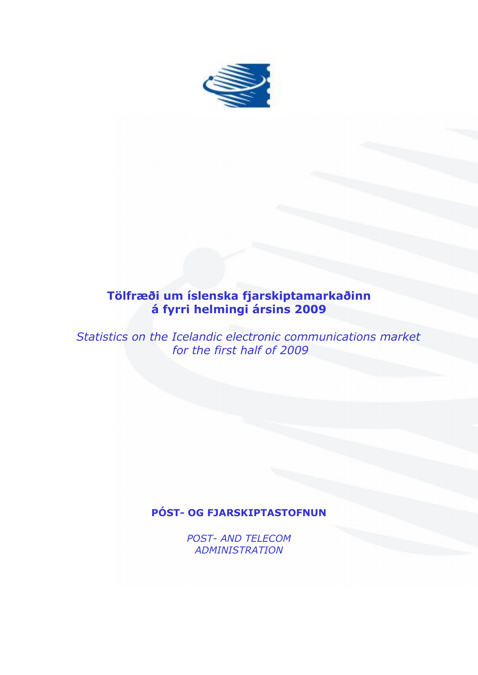

# **Tölfræði um íslenska fjarskiptamarkaðinn á fyrri helmingi ársins 2009**

*Statistics on the Icelandic electronic communications market for the first half of 2009*

## **PÓST- OG FJARSKIPTASTOFNUN**

*POST- AND TELECOM ADMINISTRATION*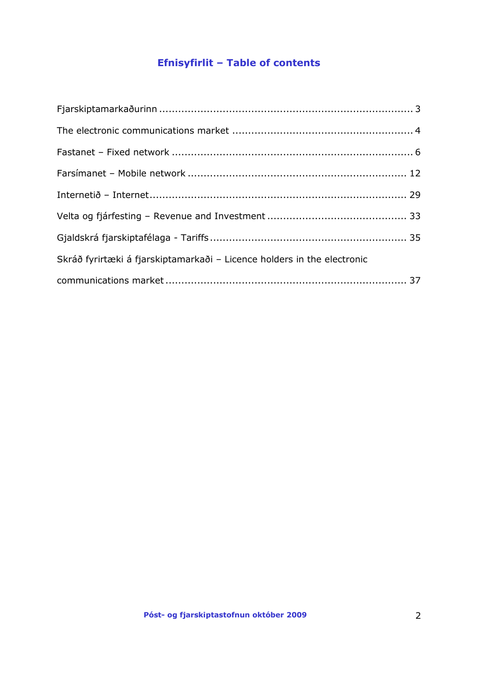# **Efnisyfirlit – Table of contents**

| Skráð fyrirtæki á fjarskiptamarkaði - Licence holders in the electronic |  |
|-------------------------------------------------------------------------|--|
|                                                                         |  |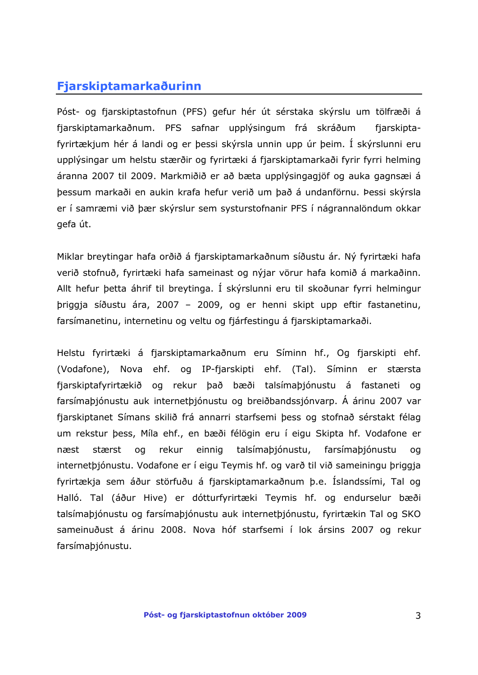## <span id="page-2-0"></span>**Fjarskiptamarkaðurinn**

Póst- og fjarskiptastofnun (PFS) gefur hér út sérstaka skýrslu um tölfræði á fjarskiptamarkaðnum. PFS safnar upplýsingum frá skráðum fjarskiptafyrirtækjum hér á landi og er þessi skýrsla unnin upp úr þeim. Í skýrslunni eru upplýsingar um helstu stærðir og fyrirtæki á fjarskiptamarkaði fyrir fyrri helming áranna 2007 til 2009. Markmiðið er að bæta upplýsingagjöf og auka gagnsæi á þessum markaði en aukin krafa hefur verið um það á undanförnu. Þessi skýrsla er í samræmi við þær skýrslur sem systurstofnanir PFS í nágrannalöndum okkar gefa út.

Miklar breytingar hafa orðið á fjarskiptamarkaðnum síðustu ár. Ný fyrirtæki hafa verið stofnuð, fyrirtæki hafa sameinast og nýjar vörur hafa komið á markaðinn. Allt hefur þetta áhrif til breytinga. Í skýrslunni eru til skoðunar fyrri helmingur þriggja síðustu ára, 2007 – 2009, og er henni skipt upp eftir fastanetinu, farsímanetinu, internetinu og veltu og fjárfestingu á fjarskiptamarkaði.

Helstu fyrirtæki á fjarskiptamarkaðnum eru Síminn hf., Og fjarskipti ehf. (Vodafone), Nova ehf. og IP-fjarskipti ehf. (Tal). Síminn er stærsta fjarskiptafyrirtækið og rekur það bæði talsímaþjónustu á fastaneti og farsímaþjónustu auk internetþjónustu og breiðbandssjónvarp. Á árinu 2007 var fjarskiptanet Símans skilið frá annarri starfsemi þess og stofnað sérstakt félag um rekstur þess, Míla ehf., en bæði félögin eru í eigu Skipta hf. Vodafone er næst stærst og rekur einnig talsímaþjónustu, farsímaþjónustu og internetþjónustu. Vodafone er í eigu Teymis hf. og varð til við sameiningu þriggja fyrirtækja sem áður störfuðu á fjarskiptamarkaðnum þ.e. Íslandssími, Tal og Halló. Tal (áður Hive) er dótturfyrirtæki Teymis hf. og endurselur bæði talsímaþjónustu og farsímaþjónustu auk internetþjónustu, fyrirtækin Tal og SKO sameinuðust á árinu 2008. Nova hóf starfsemi í lok ársins 2007 og rekur farsímaþjónustu.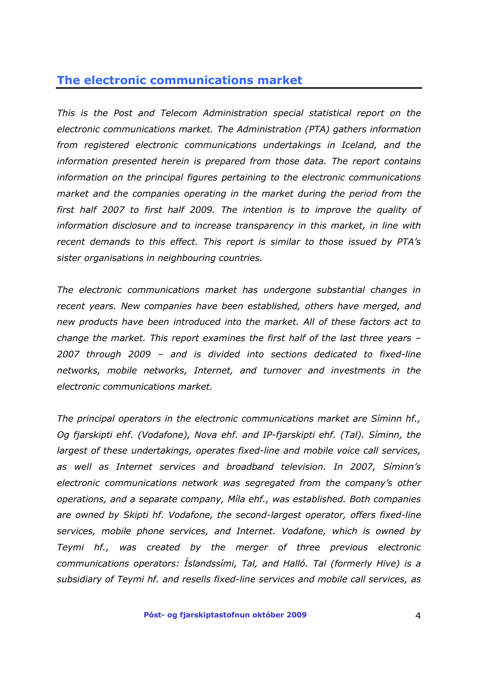## <span id="page-3-0"></span>**The electronic communications market**

*This is the Post and Telecom Administration special statistical report on the electronic communications market. The Administration (PTA) gathers information from registered electronic communications undertakings in Iceland, and the information presented herein is prepared from those data. The report contains information on the principal figures pertaining to the electronic communications market and the companies operating in the market during the period from the first half 2007 to first half 2009. The intention is to improve the quality of information disclosure and to increase transparency in this market, in line with recent demands to this effect. This report is similar to those issued by PTA's sister organisations in neighbouring countries.* 

*The electronic communications market has undergone substantial changes in recent years. New companies have been established, others have merged, and new products have been introduced into the market. All of these factors act to change the market. This report examines the first half of the last three years – 2007 through 2009 – and is divided into sections dedicated to fixed-line networks, mobile networks, Internet, and turnover and investments in the electronic communications market.* 

*The principal operators in the electronic communications market are Síminn hf., Og fjarskipti ehf. (Vodafone), Nova ehf. and IP-fjarskipti ehf. (Tal). Síminn, the largest of these undertakings, operates fixed-line and mobile voice call services, as well as Internet services and broadband television. In 2007, Síminn's electronic communications network was segregated from the company's other operations, and a separate company, Míla ehf., was established. Both companies are owned by Skipti hf. Vodafone, the second-largest operator, offers fixed-line services, mobile phone services, and Internet. Vodafone, which is owned by Teymi hf., was created by the merger of three previous electronic communications operators: Íslandssími, Tal, and Halló. Tal (formerly Hive) is a subsidiary of Teymi hf. and resells fixed-line services and mobile call services, as*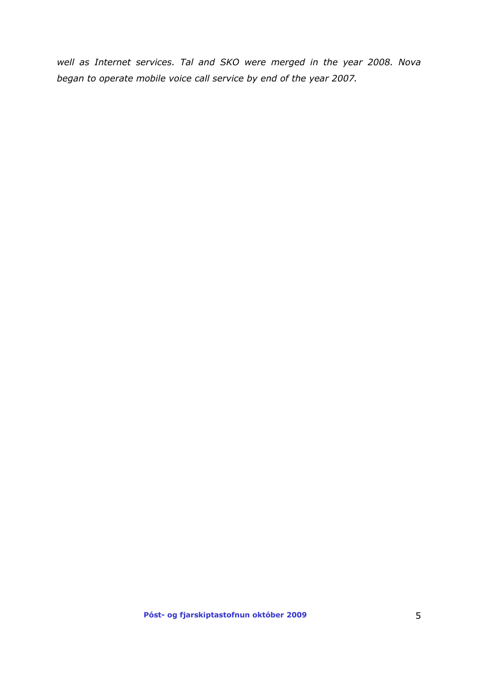*well as Internet services. Tal and SKO were merged in the year 2008. Nova began to operate mobile voice call service by end of the year 2007.*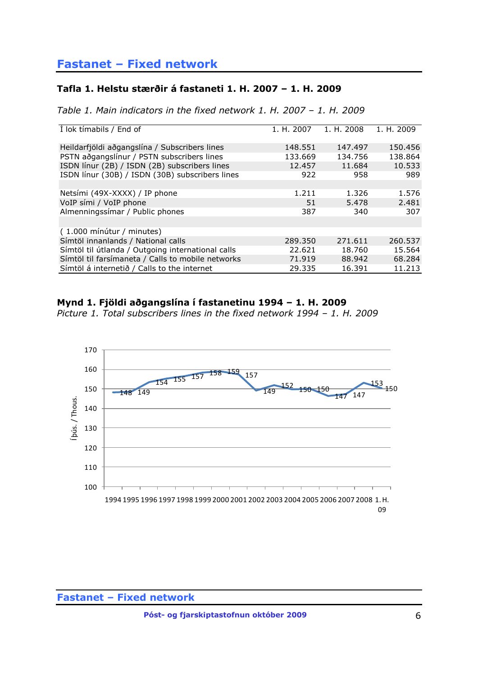# <span id="page-5-0"></span>**Fastanet – Fixed network**

### **Tafla 1. Helstu stærðir á fastaneti 1. H. 2007 – 1. H. 2009**

*Table 1. Main indicators in the fixed network 1. H. 2007 – 1. H. 2009*

| I lok timabils / End of                           | 1. H. 2007 | 1. H. 2008 | 1. H. 2009 |
|---------------------------------------------------|------------|------------|------------|
| Heildarfjöldi aðgangslína / Subscribers lines     | 148.551    | 147.497    | 150.456    |
| PSTN aðgangslínur / PSTN subscribers lines        | 133.669    | 134.756    | 138.864    |
| ISDN línur (2B) / ISDN (2B) subscribers lines     | 12.457     | 11.684     | 10.533     |
| ISDN línur (30B) / ISDN (30B) subscribers lines   | 922        | 958        | 989        |
|                                                   |            |            |            |
| Netsími (49X-XXXX) / IP phone                     | 1.211      | 1.326      | 1.576      |
| VoIP sími / VoIP phone                            | 51         | 5.478      | 2.481      |
| Almenningssimar / Public phones                   | 387        | 340        | 307        |
|                                                   |            |            |            |
| (1.000 mínútur / minutes)                         |            |            |            |
| Símtöl innanlands / National calls                | 289.350    | 271.611    | 260.537    |
| Símtöl til útlanda / Outgoing international calls | 22.621     | 18.760     | 15.564     |
| Símtöl til farsímaneta / Calls to mobile networks | 71.919     | 88.942     | 68.284     |
| Símtöl á internetið / Calls to the internet       | 29.335     | 16.391     | 11.213     |

### **Mynd 1. Fjöldi aðgangslína í fastanetinu 1994 – 1. H. 2009**

*Picture 1. Total subscribers lines in the fixed network 1994 – 1. H. 2009*

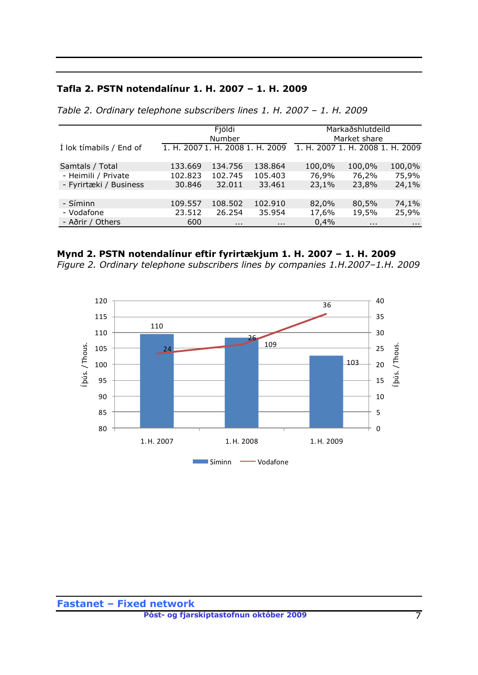### **Tafla 2. PSTN notendalínur 1. H. 2007 – 1. H. 2009**

|                         |                                  | Fjöldi<br>Number |          |                                  | Markaðshlutdeild<br>Market share |          |
|-------------------------|----------------------------------|------------------|----------|----------------------------------|----------------------------------|----------|
| Í lok tímabils / End of | 1. H. 2007 1. H. 2008 1. H. 2009 |                  |          | 1. H. 2007 1. H. 2008 1. H. 2009 |                                  |          |
| Samtals / Total         | 133.669                          | 134.756          | 138.864  | 100,0%                           | 100,0%                           | 100,0%   |
| - Heimili / Private     | 102.823                          | 102.745          | 105.403  | 76,9%                            | 76,2%                            | 75,9%    |
| - Fyrirtæki / Business  | 30.846                           | 32.011           | 33.461   | 23,1%                            | 23,8%                            | 24,1%    |
|                         |                                  |                  |          |                                  |                                  |          |
| - Síminn                | 109.557                          | 108.502          | 102.910  | 82,0%                            | 80,5%                            | 74,1%    |
| - Vodafone              | 23.512                           | 26.254           | 35.954   | 17,6%                            | 19,5%                            | 25,9%    |
| - Aðrir / Others        | 600                              | $\cdots$         | $\cdots$ | 0,4%                             | $\cdots$                         | $\cdots$ |

*Table 2. Ordinary telephone subscribers lines 1. H. 2007 – 1. H. 2009*

## **Mynd 2. PSTN notendalínur eftir fyrirtækjum 1. H. 2007 – 1. H. 2009**

*Figure 2. Ordinary telephone subscribers lines by companies 1.H.2007–1.H. 2009*

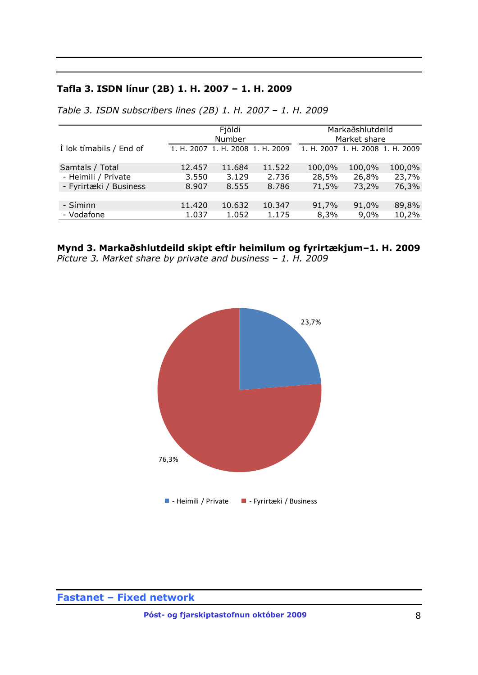## **Tafla 3. ISDN línur (2B) 1. H. 2007 – 1. H. 2009**

|                         |        | Fjöldi<br>Number                 |        |        | Markaðshlutdeild<br>Market share |        |
|-------------------------|--------|----------------------------------|--------|--------|----------------------------------|--------|
| I lok tímabils / End of |        | 1. H. 2007 1. H. 2008 1. H. 2009 |        |        | 1. H. 2007 1. H. 2008 1. H. 2009 |        |
| Samtals / Total         | 12.457 | 11.684                           | 11.522 | 100,0% | 100,0%                           | 100,0% |
| - Heimili / Private     | 3.550  | 3.129                            | 2.736  | 28,5%  | 26,8%                            | 23,7%  |
| - Fyrirtæki / Business  | 8.907  | 8.555                            | 8.786  | 71,5%  | 73,2%                            | 76,3%  |
| - Síminn                | 11,420 | 10.632                           | 10.347 | 91,7%  | 91,0%                            | 89,8%  |
| - Vodafone              | 1.037  | 1.052                            | 1.175  | 8,3%   | 9,0%                             | 10,2%  |

*Table 3. ISDN subscribers lines (2B) 1. H. 2007 – 1. H. 2009*

**Mynd 3. Markaðshlutdeild skipt eftir heimilum og fyrirtækjum–1. H. 2009** *Picture 3. Market share by private and business – 1. H. 2009*



**Fastanet – Fixed network**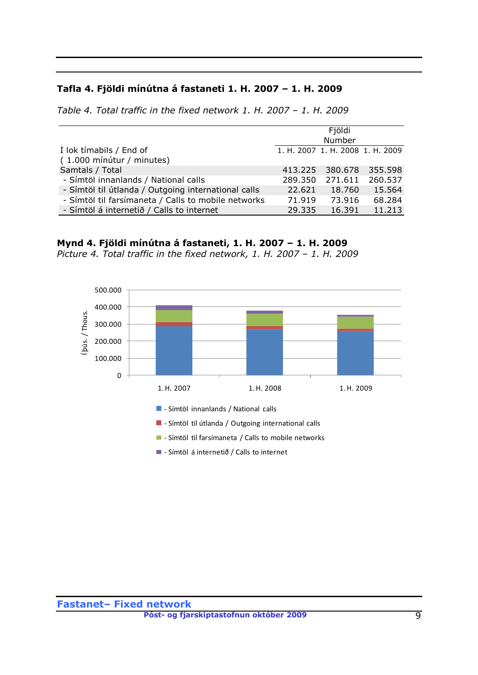### **Tafla 4. Fjöldi mínútna á fastaneti 1. H. 2007 – 1. H. 2009**

*Table 4. Total traffic in the fixed network 1. H. 2007 – 1. H. 2009*

|                                                     |         | Fjöldi                           |         |
|-----------------------------------------------------|---------|----------------------------------|---------|
|                                                     |         | Number                           |         |
| I lok tímabils / End of                             |         | 1. H. 2007 1. H. 2008 1. H. 2009 |         |
| (1.000 mínútur / minutes)                           |         |                                  |         |
| Samtals / Total                                     |         | 413.225 380.678                  | 355.598 |
| - Símtöl innanlands / National calls                | 289,350 | 271.611                          | 260.537 |
| - Símtöl til útlanda / Outgoing international calls | 22.621  | 18.760                           | 15.564  |
| - Símtöl til farsímaneta / Calls to mobile networks | 71.919  | 73.916                           | 68.284  |
| - Símtöl á internetið / Calls to internet           | 29.335  | 16.391                           | 11.213  |

## **Mynd 4. Fjöldi mínútna á fastaneti, 1. H. 2007 – 1. H. 2009**

*Picture 4. Total traffic in the fixed network, 1. H. 2007 – 1. H. 2009*

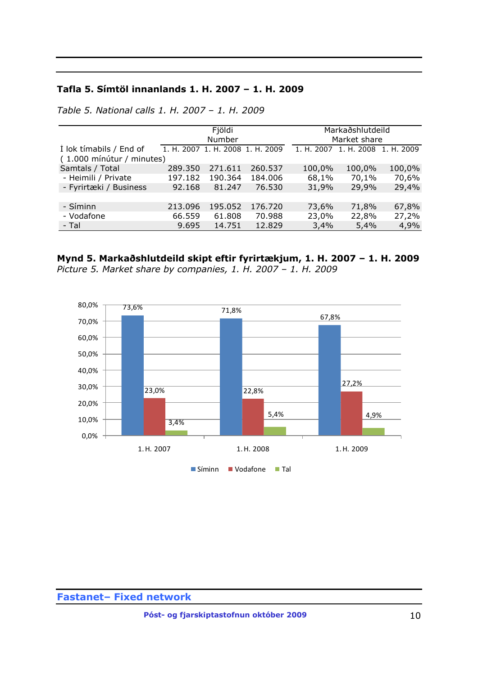### **Tafla 5. Símtöl innanlands 1. H. 2007 – 1. H. 2009**

|                           | Fjöldi<br>Number |                                  |         |            | Markaðshlutdeild<br>Market share |        |
|---------------------------|------------------|----------------------------------|---------|------------|----------------------------------|--------|
| I lok tímabils / End of   |                  | 1. H. 2007 1. H. 2008 1. H. 2009 |         | 1. H. 2007 | 1. H. 2008 1. H. 2009            |        |
| (1.000 mínútur / minutes) |                  |                                  |         |            |                                  |        |
| Samtals / Total           | 289.350          | 271.611                          | 260.537 | 100,0%     | 100,0%                           | 100,0% |
| - Heimili / Private       | 197.182          | 190.364                          | 184.006 | 68,1%      | 70,1%                            | 70,6%  |
| - Fyrirtæki / Business    | 92.168           | 81.247                           | 76.530  | 31,9%      | 29,9%                            | 29,4%  |
|                           |                  |                                  |         |            |                                  |        |
| - Síminn                  | 213.096          | 195.052                          | 176.720 | 73,6%      | 71,8%                            | 67,8%  |
| - Vodafone                | 66.559           | 61.808                           | 70.988  | 23,0%      | 22,8%                            | 27,2%  |
| - Tal                     | 9.695            | 14.751                           | 12.829  | 3,4%       | 5,4%                             | 4,9%   |

*Table 5. National calls 1. H. 2007 – 1. H. 2009*

### **Mynd 5. Markaðshlutdeild skipt eftir fyrirtækjum, 1. H. 2007 – 1. H. 2009** *Picture 5. Market share by companies, 1. H. 2007 – 1. H. 2009*

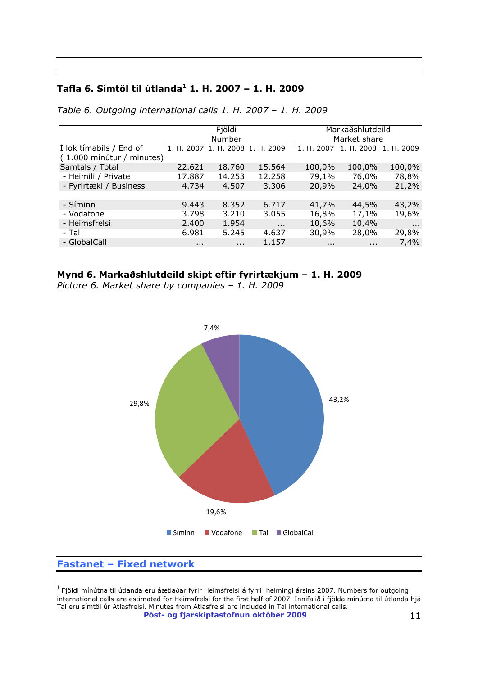### **Tafla 6. Símtöl til útlanda<sup>1</sup> 1. H. 2007 – 1. H. 2009**

|                           |          | Fjöldi   |                                  |            | Markaðshlutdeild |            |
|---------------------------|----------|----------|----------------------------------|------------|------------------|------------|
|                           |          | Number   |                                  |            | Market share     |            |
| Í lok tímabils / End of   |          |          | 1. H. 2007 1. H. 2008 1. H. 2009 | 1. H. 2007 | 1. H. 2008       | 1. H. 2009 |
| (1.000 mínútur / minutes) |          |          |                                  |            |                  |            |
| Samtals / Total           | 22.621   | 18,760   | 15.564                           | 100,0%     | 100,0%           | 100,0%     |
| - Heimili / Private       | 17.887   | 14.253   | 12.258                           | 79,1%      | 76,0%            | 78,8%      |
| - Fyrirtæki / Business    | 4.734    | 4.507    | 3.306                            | 20,9%      | 24,0%            | 21,2%      |
|                           |          |          |                                  |            |                  |            |
| - Síminn                  | 9.443    | 8.352    | 6.717                            | 41,7%      | 44,5%            | 43,2%      |
| - Vodafone                | 3.798    | 3.210    | 3.055                            | 16,8%      | 17,1%            | 19,6%      |
| - Heimsfrelsi             | 2.400    | 1.954    | $\cdots$                         | 10,6%      | 10,4%            | $\cdots$   |
| - Tal                     | 6.981    | 5.245    | 4.637                            | 30,9%      | 28,0%            | 29,8%      |
| - GlobalCall              | $\cdots$ | $\cdots$ | 1.157                            | $\cdots$   | $\cdots$         | 7,4%       |
|                           |          |          |                                  |            |                  |            |

*Table 6. Outgoing international calls 1. H. 2007 – 1. H. 2009*

### **Mynd 6. Markaðshlutdeild skipt eftir fyrirtækjum – 1. H. 2009**

*Picture 6. Market share by companies – 1. H. 2009*



### **Fastanet – Fixed network**

**Póst- og fjarskiptastofnun október 2009** 11  $^{\rm 1}$  Fjöldi mínútna til útlanda eru áætlaðar fyrir Heimsfrelsi á fyrri helmingi ársins 2007. Numbers for outgoing international calls are estimated for Heimsfrelsi for the first half of 2007. Innifalið í fjölda mínútna til útlanda hjá Tal eru símtöl úr Atlasfrelsi. Minutes from Atlasfrelsi are included in Tal international calls.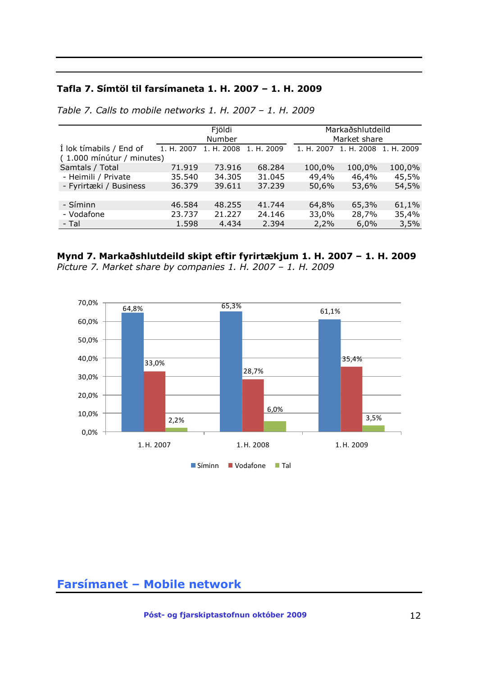### **Tafla 7. Símtöl til farsímaneta 1. H. 2007 – 1. H. 2009**

|                           |            | Fjöldi<br>Number |            |            | Markaðshlutdeild<br>Market share |            |
|---------------------------|------------|------------------|------------|------------|----------------------------------|------------|
| I lok tímabils / End of   | 1. H. 2007 | 1. H. 2008       | 1. H. 2009 | 1. H. 2007 | 1. H. 2008                       | 1. H. 2009 |
| (1.000 mínútur / minutes) |            |                  |            |            |                                  |            |
| Samtals / Total           | 71.919     | 73.916           | 68.284     | 100,0%     | 100,0%                           | 100,0%     |
| - Heimili / Private       | 35.540     | 34.305           | 31.045     | 49,4%      | 46,4%                            | 45,5%      |
| - Fyrirtæki / Business    | 36.379     | 39.611           | 37.239     | 50,6%      | 53,6%                            | 54,5%      |
|                           |            |                  |            |            |                                  |            |
| - Síminn                  | 46.584     | 48.255           | 41.744     | 64,8%      | 65,3%                            | 61,1%      |
| - Vodafone                | 23.737     | 21.227           | 24.146     | 33,0%      | 28,7%                            | 35,4%      |
| - Tal                     | 1.598      | 4.434            | 2.394      | 2,2%       | 6,0%                             | 3,5%       |

*Table 7. Calls to mobile networks 1. H. 2007 – 1. H. 2009*

### **Mynd 7. Markaðshlutdeild skipt eftir fyrirtækjum 1. H. 2007 – 1. H. 2009**





## <span id="page-11-0"></span>**Farsímanet – Mobile network**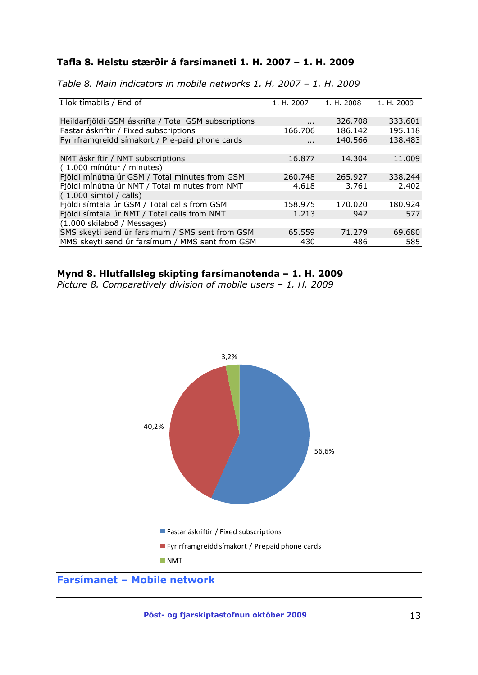### **Tafla 8. Helstu stærðir á farsímaneti 1. H. 2007 – 1. H. 2009**

| Table 8. Main indicators in mobile networks 1. H. 2007 - 1. H. 2009 |  |  |  |  |  |  |  |  |  |  |  |  |  |
|---------------------------------------------------------------------|--|--|--|--|--|--|--|--|--|--|--|--|--|
|---------------------------------------------------------------------|--|--|--|--|--|--|--|--|--|--|--|--|--|

| I lok tímabils / End of                              | 1. H. 2007 | 1. H. 2008 | 1. H. 2009 |
|------------------------------------------------------|------------|------------|------------|
| Heildarfjöldi GSM áskrifta / Total GSM subscriptions | $\cdots$   | 326,708    | 333.601    |
| Fastar áskriftir / Fixed subscriptions               | 166.706    | 186.142    | 195.118    |
| Fyrirframgreidd símakort / Pre-paid phone cards      | $\cdots$   | 140.566    | 138.483    |
|                                                      |            |            |            |
| NMT áskriftir / NMT subscriptions                    | 16.877     | 14.304     | 11,009     |
| (1.000 mínútur / minutes)                            |            |            |            |
| Fjöldi mínútna úr GSM / Total minutes from GSM       | 260.748    | 265.927    | 338.244    |
| Fjöldi mínútna úr NMT / Total minutes from NMT       | 4.618      | 3.761      | 2.402      |
| $(1.000 \text{ s/mtöl } / \text{ calls})$            |            |            |            |
| Fjöldi símtala úr GSM / Total calls from GSM         | 158.975    | 170.020    | 180.924    |
| Fjöldi símtala úr NMT / Total calls from NMT         | 1.213      | 942        | 577        |
| (1.000 skilaboð / Messages)                          |            |            |            |
| SMS skeyti send úr farsímum / SMS sent from GSM      | 65.559     | 71.279     | 69.680     |
| MMS skeyti send úr farsímum / MMS sent from GSM      | 430        | 486        | 585        |

### **Mynd 8. Hlutfallsleg skipting farsímanotenda – 1. H. 2009**

*Picture 8. Comparatively division of mobile users – 1. H. 2009*



## **Farsímanet – Mobile network**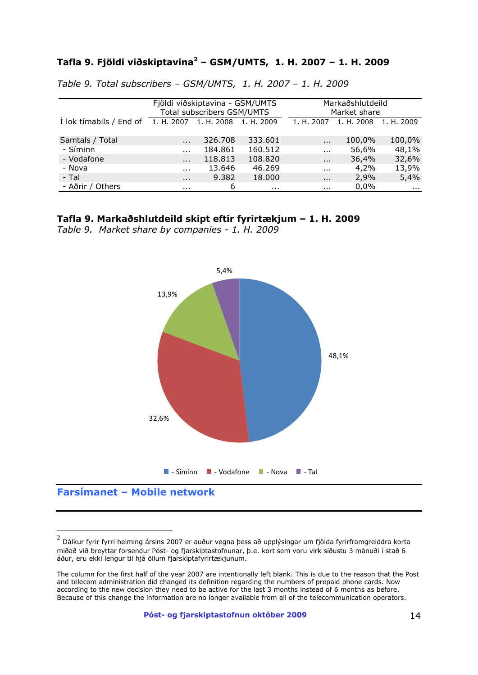## **Tafla 9. Fjöldi viðskiptavina<sup>2</sup> – GSM/UMTS, 1. H. 2007 – 1. H. 2009**

|                         | Fjöldi viðskiptavina - GSM/UMTS<br>Total subscribers GSM/UMTS |            |            | Markaðshlutdeild<br>Market share |            |            |  |
|-------------------------|---------------------------------------------------------------|------------|------------|----------------------------------|------------|------------|--|
| I lok tímabils / End of | 1. H. 2007                                                    | 1. H. 2008 | 1. H. 2009 | 1. H. 2007                       | 1. H. 2008 | 1. H. 2009 |  |
| Samtals / Total         | $\cdots$                                                      | 326,708    | 333.601    | $\ddotsc$                        | 100,0%     | 100,0%     |  |
| - Síminn                | $\cdots$                                                      | 184.861    | 160.512    | $\cdots$                         | 56,6%      | 48,1%      |  |
| - Vodafone              | $\cdots$                                                      | 118.813    | 108.820    | $\cdots$                         | 36,4%      | 32,6%      |  |
| - Nova                  | $\cdots$                                                      | 13.646     | 46.269     | $\cdots$                         | 4,2%       | 13,9%      |  |
| - Tal                   | $\cdots$                                                      | 9.382      | 18.000     | $\cdots$                         | 2,9%       | 5,4%       |  |
| - Aðrir / Others        | .                                                             | 6          | $\cdots$   | .                                | 0,0%       | .          |  |

| Table 9. Total subscribers - GSM/UMTS, 1. H. 2007 - 1. H. 2009 |  |  |  |
|----------------------------------------------------------------|--|--|--|
|----------------------------------------------------------------|--|--|--|

#### **Tafla 9. Markaðshlutdeild skipt eftir fyrirtækjum – 1. H. 2009**

*Table 9. Market share by companies - 1. H. 2009*



**Farsímanet – Mobile network**

 $^2$  Dálkur fyrir fyrri helming ársins 2007 er auður vegna þess að upplýsingar um fjölda fyrirframgreiddra korta $\,$ miðað við breyttar forsendur Póst- og fjarskiptastofnunar, þ.e. kort sem voru virk síðustu 3 mánuði í stað 6 áður, eru ekki lengur til hjá öllum fjarskiptafyrirtækjunum.

The column for the first half of the year 2007 are intentionally left blank. This is due to the reason that the Post and telecom administration did changed its definition regarding the numbers of prepaid phone cards. Now according to the new decision they need to be active for the last 3 months instead of 6 months as before. Because of this change the information are no longer available from all of the telecommunication operators.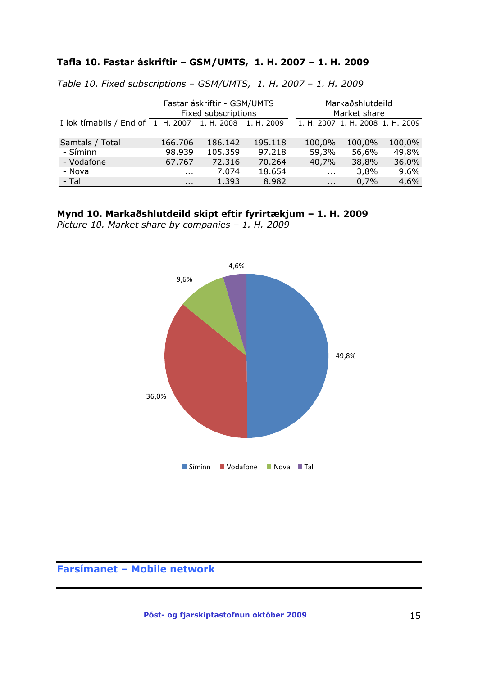### **Tafla 10. Fastar áskriftir – GSM/UMTS, 1. H. 2007 – 1. H. 2009**

|                                                                       |          | Fastar áskriftir - GSM/UMTS<br>Fixed subscriptions |         | Markaðshlutdeild<br>Market share |        |        |  |  |
|-----------------------------------------------------------------------|----------|----------------------------------------------------|---------|----------------------------------|--------|--------|--|--|
| I lok timabils / End of $\overline{1. H.}$ 2007 1. H. 2008 1. H. 2009 |          |                                                    |         | 1. H. 2007 1. H. 2008 1. H. 2009 |        |        |  |  |
| Samtals / Total                                                       | 166.706  | 186.142                                            | 195.118 | 100,0%                           | 100,0% | 100,0% |  |  |
| - Síminn                                                              | 98.939   | 105.359                                            | 97.218  | 59,3%                            | 56,6%  | 49,8%  |  |  |
| - Vodafone                                                            | 67.767   | 72.316                                             | 70.264  | 40,7%                            | 38,8%  | 36,0%  |  |  |
| - Nova                                                                | $\cdots$ | 7.074                                              | 18.654  | $\sim 100$                       | 3,8%   | 9,6%   |  |  |
| - Tal                                                                 | $\cdots$ | 1.393                                              | 8.982   | $\cdots$                         | 0,7%   | 4,6%   |  |  |

*Table 10. Fixed subscriptions – GSM/UMTS, 1. H. 2007 – 1. H. 2009*

### **Mynd 10. Markaðshlutdeild skipt eftir fyrirtækjum – 1. H. 2009**

*Picture 10. Market share by companies – 1. H. 2009*



## **Farsímanet – Mobile network**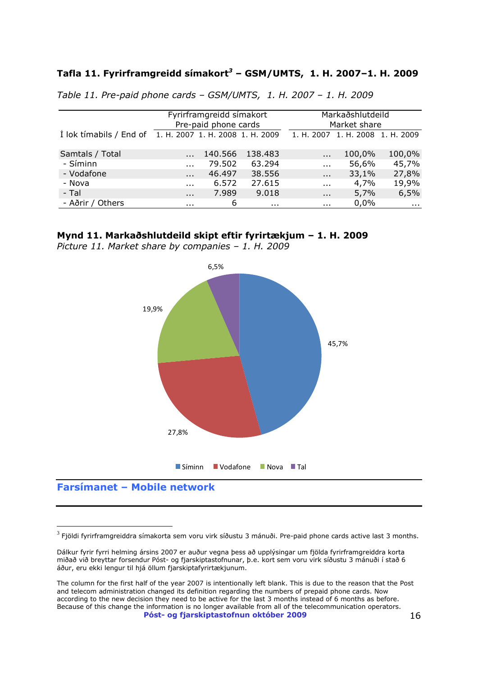### **Tafla 11. Fyrirframgreidd símakort***<sup>3</sup>* **– GSM/UMTS, 1. H. 2007–1. H. 2009**

|                         |                                  | Fyrirframgreidd símakort<br>Pre-paid phone cards |          |            | Markaðshlutdeild<br>Market share |            |  |  |  |
|-------------------------|----------------------------------|--------------------------------------------------|----------|------------|----------------------------------|------------|--|--|--|
| I lok tímabils / End of | 1. H. 2007 1. H. 2008 1. H. 2009 |                                                  |          |            | 1. H. 2007 1. H. 2008 1. H. 2009 |            |  |  |  |
| Samtals / Total         |                                  | 140.566                                          | 138.483  | $\cdots$   | 100,0%                           | 100,0%     |  |  |  |
| - Síminn                | $\cdots$                         | 79.502                                           | 63.294   | $\cdots$   | 56,6%                            | 45,7%      |  |  |  |
| - Vodafone              | $\cdots$                         | 46.497                                           | 38.556   | $\cdots$   | 33,1%                            | 27,8%      |  |  |  |
| - Nova                  | $\cdots$                         | 6.572                                            | 27.615   | $\cdots$   | 4,7%                             | 19,9%      |  |  |  |
| - Tal                   | $\cdots$                         | 7.989                                            | 9.018    | $\cdots$   | 5,7%                             | 6,5%       |  |  |  |
| - Aðrir / Others        | $\cdots$                         | 6                                                | $\cdots$ | $\sim 100$ | 0,0%                             | $\sim 100$ |  |  |  |

*Table 11. Pre-paid phone cards – GSM/UMTS, 1. H. 2007 – 1. H. 2009*

#### **Mynd 11. Markaðshlutdeild skipt eftir fyrirtækjum – 1. H. 2009**

*Picture 11. Market share by companies – 1. H. 2009* 



### **Farsímanet – Mobile network**

 $^3$  Fjöldi fyrirframgreiddra símakorta sem voru virk síðustu 3 mánuði. Pre-paid phone cards active last 3 months.

Dálkur fyrir fyrri helming ársins 2007 er auður vegna þess að upplýsingar um fjölda fyrirframgreiddra korta miðað við breyttar forsendur Póst- og fjarskiptastofnunar, þ.e. kort sem voru virk síðustu 3 mánuði í stað 6 áður, eru ekki lengur til hjá öllum fjarskiptafyrirtækjunum.

**Póst- og fjarskiptastofnun október 2009** 16 The column for the first half of the year 2007 is intentionally left blank. This is due to the reason that the Post and telecom administration changed its definition regarding the numbers of prepaid phone cards. Now according to the new decision they need to be active for the last 3 months instead of 6 months as before. Because of this change the information is no longer available from all of the telecommunication operators.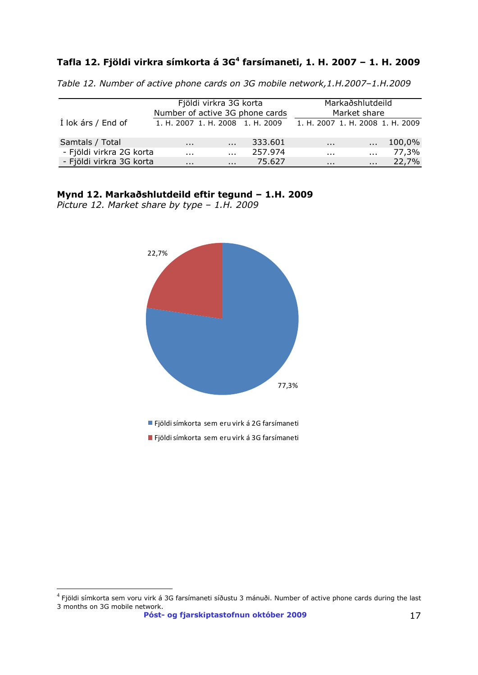### **Tafla 12. Fjöldi virkra símkorta á 3G<sup>4</sup> farsímaneti, 1. H. 2007 – 1. H. 2009**

*Table 12. Number of active phone cards on 3G mobile network,1.H.2007–1.H.2009*

|                          | Fjöldi virkra 3G korta<br>Number of active 3G phone cards | Markaðshlutdeild<br>Market share |                                  |          |                                  |        |  |
|--------------------------|-----------------------------------------------------------|----------------------------------|----------------------------------|----------|----------------------------------|--------|--|
| Í lok árs / End of       |                                                           |                                  | 1. H. 2007 1. H. 2008 1. H. 2009 |          | 1. H. 2007 1. H. 2008 1. H. 2009 |        |  |
| Samtals / Total          | $\cdots$                                                  | $\cdots$                         | 333.601                          | $\cdots$ |                                  | 100,0% |  |
| - Fjöldi virkra 2G korta | .                                                         | $\cdots$                         | 257.974                          | .        | $\cdots$                         | 77,3%  |  |
| - Fjöldi virkra 3G korta | $\cdots$                                                  | $\cdots$                         | 75.627                           | $\cdots$ | $\cdots$                         | 22,7%  |  |

#### **Mynd 12. Markaðshlutdeild eftir tegund – 1.H. 2009**

*Picture 12. Market share by type – 1.H. 2009* 



Fjöldi símkorta sem eru virk á 2G farsímaneti

Fjöldi símkorta sem eru virk á 3G farsímaneti

**Póst- og fjarskiptastofnun október 2009** 17

<sup>&</sup>lt;sup>4</sup> Fjöldi símkorta sem voru virk á 3G farsímaneti síðustu 3 mánuði. Number of active phone cards during the last 3 months on 3G mobile network.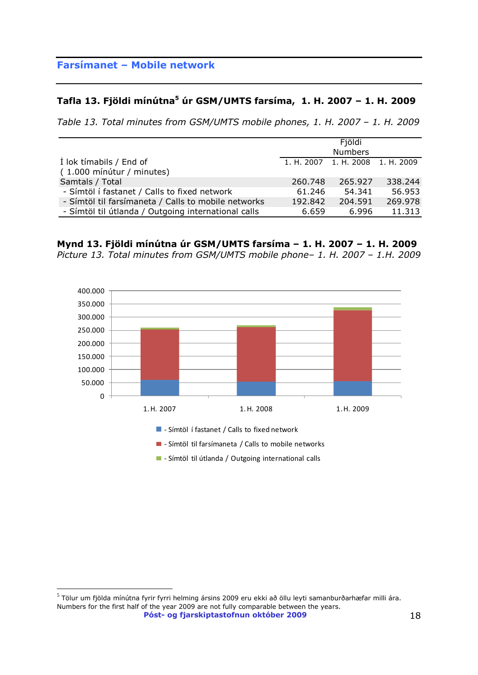### **Tafla 13. Fjöldi mínútna<sup>5</sup> úr GSM/UMTS farsíma, 1. H. 2007 – 1. H. 2009**

*Table 13. Total minutes from GSM/UMTS mobile phones, 1. H. 2007 – 1. H. 2009*

|                                                     |         | Fjöldi                           |         |
|-----------------------------------------------------|---------|----------------------------------|---------|
|                                                     |         | <b>Numbers</b>                   |         |
| I lok tímabils / End of                             |         | 1. H. 2007 1. H. 2008 1. H. 2009 |         |
| (1.000 mínútur / minutes)                           |         |                                  |         |
| Samtals / Total                                     | 260.748 | 265.927                          | 338.244 |
| - Símtöl í fastanet / Calls to fixed network        | 61.246  | 54.341                           | 56.953  |
| - Símtöl til farsímaneta / Calls to mobile networks | 192.842 | 204.591                          | 269.978 |
| - Símtöl til útlanda / Outgoing international calls | 6.659   | 6.996                            | 11.313  |
|                                                     |         |                                  |         |

**Mynd 13. Fjöldi mínútna úr GSM/UMTS farsíma – 1. H. 2007 – 1. H. 2009** *Picture 13. Total minutes from GSM/UMTS mobile phone– 1. H. 2007 – 1.H. 2009* 



 $\overline{a}$  $^5$  Tölur um fjölda mínútna fyrir fyrri helming ársins 2009 eru ekki að öllu leyti samanburðarhæfar milli ára. Numbers for the first half of the year 2009 are not fully comparable between the years.

**Póst- og fjarskiptastofnun október 2009** 18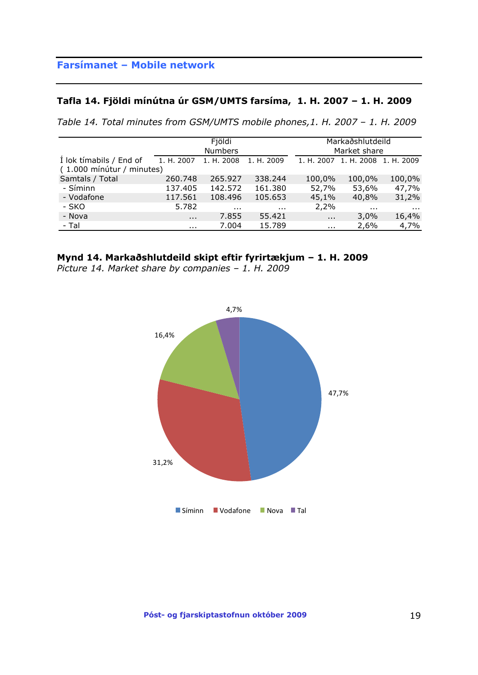### **Tafla 14. Fjöldi mínútna úr GSM/UMTS farsíma, 1. H. 2007 – 1. H. 2009**

*Table 14. Total minutes from GSM/UMTS mobile phones,1. H. 2007 – 1. H. 2009*

|                                                      |               | Fjöldi<br><b>Numbers</b> |            | Markaðshlutdeild<br>Market share |            |            |  |  |
|------------------------------------------------------|---------------|--------------------------|------------|----------------------------------|------------|------------|--|--|
| I lok tímabils / End of<br>(1.000 mínútur / minutes) | 1. H. 2007    | 1. H. 2008               | 1. H. 2009 | 1. H. 2007                       | 1. H. 2008 | 1. H. 2009 |  |  |
| Samtals / Total                                      | 260,748       | 265.927                  | 338.244    | 100,0%                           | 100,0%     | 100,0%     |  |  |
| - Síminn                                             | 137.405       | 142.572                  | 161.380    | 52,7%                            | 53,6%      | 47,7%      |  |  |
| - Vodafone                                           | 117.561       | 108.496                  | 105.653    | 45,1%                            | 40,8%      | 31,2%      |  |  |
| - SKO                                                | 5.782         | $\cdots$                 | $\cdots$   | 2,2%                             | $\cdots$   | $\cdots$   |  |  |
| - Nova                                               | $\sim$ $\sim$ | 7.855                    | 55.421     | $\cdots$                         | 3,0%       | 16,4%      |  |  |
| - Tal                                                | $\cdots$      | 7.004                    | 15.789     | $\cdots$                         | 2,6%       | 4,7%       |  |  |

### **Mynd 14. Markaðshlutdeild skipt eftir fyrirtækjum – 1. H. 2009**

*Picture 14. Market share by companies – 1. H. 2009*

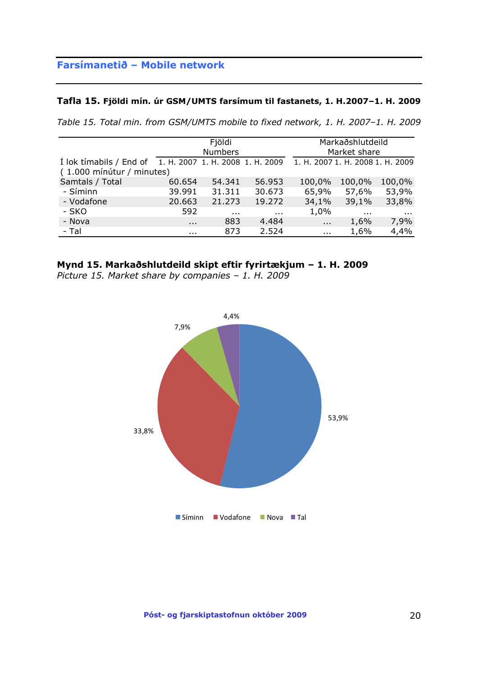#### **Tafla 15. Fjöldi mín. úr GSM/UMTS farsímum til fastanets, 1. H.2007–1. H. 2009**

*Table 15. Total min. from GSM/UMTS mobile to fixed network, 1. H. 2007–1. H. 2009*

|                                                      |                                  | Fjöldi<br><b>Numbers</b> |          |                                  | Markaðshlutdeild<br>Market share |          |
|------------------------------------------------------|----------------------------------|--------------------------|----------|----------------------------------|----------------------------------|----------|
| I lok tímabils / End of<br>(1.000 mínútur / minutes) | 1. H. 2007 1. H. 2008 1. H. 2009 |                          |          | 1. H. 2007 1. H. 2008 1. H. 2009 |                                  |          |
| Samtals / Total                                      | 60.654                           | 54.341                   | 56.953   | 100,0%                           | 100,0%                           | 100,0%   |
| - Síminn                                             | 39.991                           | 31.311                   | 30.673   | 65,9%                            | 57,6%                            | 53,9%    |
| - Vodafone                                           | 20.663                           | 21.273                   | 19.272   | 34,1%                            | 39,1%                            | 33,8%    |
| - SKO                                                | 592                              | $\sim 100$               | $\cdots$ | 1,0%                             | $\sim$ $\sim$ $\sim$             | $\cdots$ |
| - Nova                                               | $\cdots$                         | 883                      | 4.484    | $\cdots$                         | 1,6%                             | 7,9%     |
| - Tal                                                | $\cdots$                         | 873                      | 2.524    | $\sim 100$                       | 1,6%                             | 4,4%     |



*Picture 15. Market share by companies – 1. H. 2009*



**Póst- og fjarskiptastofnun október 2009** 20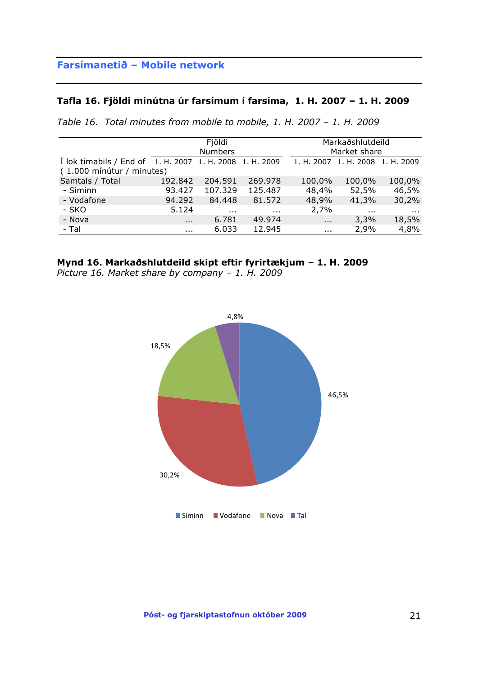### **Tafla 16. Fjöldi mínútna úr farsímum í farsíma, 1. H. 2007 – 1. H. 2009**

| Table 16. Total minutes from mobile to mobile, 1. H. 2007 - 1. H. 2009 |  |  |  |  |  |  |  |  |  |  |  |  |  |
|------------------------------------------------------------------------|--|--|--|--|--|--|--|--|--|--|--|--|--|
|------------------------------------------------------------------------|--|--|--|--|--|--|--|--|--|--|--|--|--|

|                                               |          | Fjöldi<br><b>Numbers</b> |            |            | Markaðshlutdeild<br>Market share |          |  |  |  |
|-----------------------------------------------|----------|--------------------------|------------|------------|----------------------------------|----------|--|--|--|
| I lok tímabils / End of 1. H. 2007 1. H. 2008 |          |                          | 1. H. 2009 |            | 1. H. 2007 1. H. 2008 1. H. 2009 |          |  |  |  |
| (1.000 mínútur / minutes)                     |          |                          |            |            |                                  |          |  |  |  |
| Samtals / Total                               | 192.842  | 204.591                  | 269.978    | 100,0%     | 100,0%                           | 100,0%   |  |  |  |
| - Síminn                                      | 93.427   | 107.329                  | 125.487    | 48,4%      | 52,5%                            | 46,5%    |  |  |  |
| - Vodafone                                    | 94.292   | 84.448                   | 81.572     | 48,9%      | 41,3%                            | 30,2%    |  |  |  |
| - SKO                                         | 5.124    | $\sim 100$               | $\cdots$   | 2,7%       | $\sim$ $\sim$                    | $\cdots$ |  |  |  |
| - Nova                                        | $\cdots$ | 6.781                    | 49.974     | $\sim 100$ | 3,3%                             | 18,5%    |  |  |  |
| - Tal                                         | $\cdots$ | 6.033                    | 12.945     | $\sim 100$ | 2,9%                             | 4,8%     |  |  |  |

## **Mynd 16. Markaðshlutdeild skipt eftir fyrirtækjum – 1. H. 2009**

*Picture 16. Market share by company – 1. H. 2009*

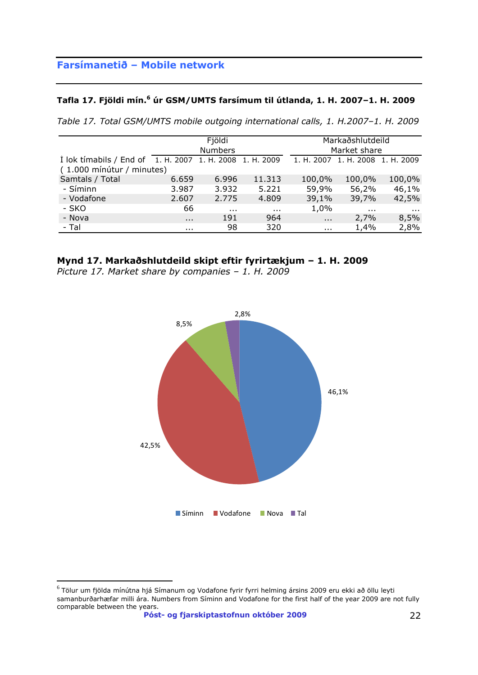#### **Tafla 17. Fjöldi mín. <sup>6</sup> úr GSM/UMTS farsímum til útlanda, 1. H. 2007–1. H. 2009**

*Table 17. Total GSM/UMTS mobile outgoing international calls, 1. H.2007–1. H. 2009*

|                                                          |               | Fjöldi<br><b>Numbers</b> |               |                      | Markaðshlutdeild<br>Market share |          |  |  |  |
|----------------------------------------------------------|---------------|--------------------------|---------------|----------------------|----------------------------------|----------|--|--|--|
| I lok timabils / End of 1. H. 2007 1. H. 2008 1. H. 2009 |               |                          |               |                      | 1. H. 2007 1. H. 2008 1. H. 2009 |          |  |  |  |
| (1.000 mínútur / minutes)                                |               |                          |               |                      |                                  |          |  |  |  |
| Samtals / Total                                          | 6.659         | 6.996                    | 11.313        | 100,0%               | 100,0%                           | 100,0%   |  |  |  |
| - Síminn                                                 | 3.987         | 3.932                    | 5.221         | 59,9%                | 56,2%                            | 46,1%    |  |  |  |
| - Vodafone                                               | 2.607         | 2.775                    | 4.809         | 39,1%                | 39,7%                            | 42,5%    |  |  |  |
| - SKO                                                    | 66            | $\sim 100$               | $\sim$ $\sim$ | 1,0%                 | $\sim$ 10 $\pm$                  | $\cdots$ |  |  |  |
| - Nova                                                   | $\sim$ $\sim$ | 191                      | 964           | $\sim$ $\sim$ $\sim$ | 2,7%                             | 8,5%     |  |  |  |
| - Tal                                                    | $\cdots$      | 98                       | 320           | $\sim 100$           | 1,4%                             | 2,8%     |  |  |  |

## **Mynd 17. Markaðshlutdeild skipt eftir fyrirtækjum – 1. H. 2009**

*Picture 17. Market share by companies – 1. H. 2009*



 $\overline{a}$  $^6$  Tölur um fjölda mínútna hjá Símanum og Vodafone fyrir fyrri helming ársins 2009 eru ekki að öllu leyti samanburðarhæfar milli ára. Numbers from Síminn and Vodafone for the first half of the year 2009 are not fully comparable between the years.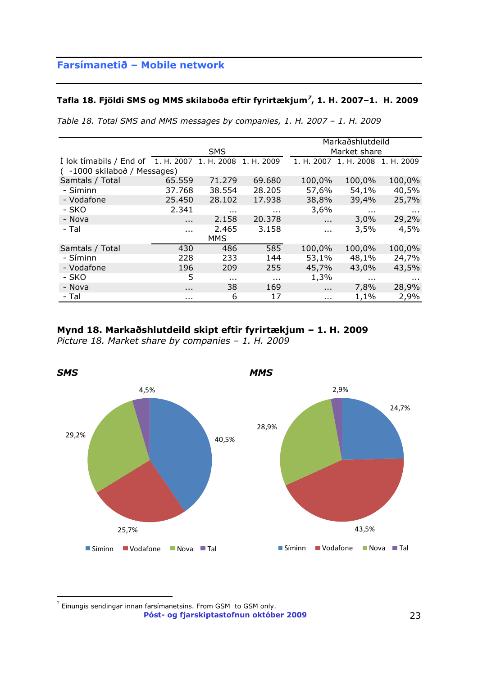#### **Tafla 18. Fjöldi SMS og MMS skilaboða eftir fyrirtækjum***<sup>7</sup>* **, 1. H. 2007–1. H. 2009**

|  |  |  |  | Table 18. Total SMS and MMS messages by companies, 1. H. 2007 – 1. H. 2009 |  |  |  |  |
|--|--|--|--|----------------------------------------------------------------------------|--|--|--|--|
|  |  |  |  |                                                                            |  |  |  |  |

|                                               |          |               |            |               | Markaðshlutdeild |                 |  |  |
|-----------------------------------------------|----------|---------------|------------|---------------|------------------|-----------------|--|--|
|                                               |          | <b>SMS</b>    |            | Market share  |                  |                 |  |  |
| I lok tímabils / End of 1. H. 2007 1. H. 2008 |          |               | 1. H. 2009 | 1. H. 2007    | 1. H. 2008       | 1. H. 2009      |  |  |
| ( -1000 skilaboð / Messages)                  |          |               |            |               |                  |                 |  |  |
| Samtals / Total                               | 65.559   | 71.279        | 69.680     | 100,0%        | 100,0%           | 100,0%          |  |  |
| - Síminn                                      | 37.768   | 38.554        | 28.205     | 57,6%         | 54,1%            | 40,5%           |  |  |
| - Vodafone                                    | 25.450   | 28.102        | 17.938     | 38,8%         | 39,4%            | 25,7%           |  |  |
| - SKO                                         | 2.341    | $\sim$ $\sim$ | .          | 3,6%          | $\sim$ $\sim$    | $\sim$ 10 $\pm$ |  |  |
| - Nova                                        | $\cdots$ | 2.158         | 20.378     | $\cdots$      | 3,0%             | 29,2%           |  |  |
| - Tal                                         | $\cdots$ | 2.465         | 3.158      | $\sim$ $\sim$ | 3,5%             | 4,5%            |  |  |
|                                               |          | <b>MMS</b>    |            |               |                  |                 |  |  |
| Samtals / Total                               | 430      | 486           | 585        | 100,0%        | 100,0%           | 100,0%          |  |  |
| - Síminn                                      | 228      | 233           | 144        | 53,1%         | 48,1%            | 24,7%           |  |  |
| - Vodafone                                    | 196      | 209           | 255        | 45,7%         | 43,0%            | 43,5%           |  |  |
| - SKO                                         | 5        | $\cdots$      | $\cdots$   | 1,3%          | $\cdots$         | $\cdots$        |  |  |
| - Nova                                        | $\cdots$ | 38            | 169        | $\cdots$      | 7,8%             | 28,9%           |  |  |
| - Tal                                         | $\cdots$ | 6             | 17         | $\cdots$      | 1,1%             | 2,9%            |  |  |

#### **Mynd 18. Markaðshlutdeild skipt eftir fyrirtækjum – 1. H. 2009**

*Picture 18. Market share by companies – 1. H. 2009*



**Póst- og fjarskiptastofnun október 2009** 23  $^7$  Einungis sendingar innan farsímanetsins. From GSM to GSM only.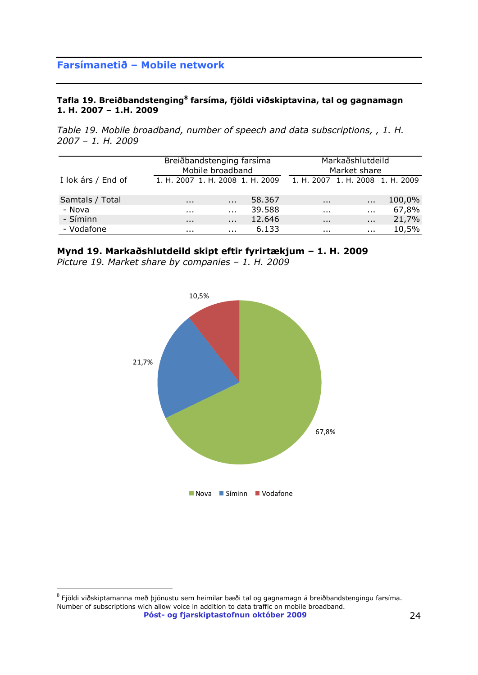#### **Tafla 19. Breiðbandstenging<sup>8</sup> farsíma, fjöldi viðskiptavina, tal og gagnamagn 1. H. 2007 – 1.H. 2009**

*Table 19. Mobile broadband, number of speech and data subscriptions, , 1. H. 2007 – 1. H. 2009*

|                    | Breiðbandstenging farsíma        | Mobile broadband |        | Markaðshlutdeild<br>Market share |              |        |  |  |
|--------------------|----------------------------------|------------------|--------|----------------------------------|--------------|--------|--|--|
| I lok árs / End of | 1. H. 2007 1. H. 2008 1. H. 2009 |                  |        | 1. H. 2007 1. H. 2008 1. H. 2009 |              |        |  |  |
| Samtals / Total    | $\cdots$                         | $\cdots$         | 58.367 | $\cdots$                         |              | 100,0% |  |  |
| - Nova             | $\cdots$                         | $\cdots$         | 39.588 | $\cdots$                         | $\mathbf{r}$ | 67,8%  |  |  |
| - Síminn           | $\cdots$                         | $\cdots$         | 12.646 | $\cdots$                         | $\cdots$     | 21,7%  |  |  |
| - Vodafone         | .                                | $\cdots$         | 6.133  | $\cdots$                         | $\cdots$     | 10,5%  |  |  |

**Mynd 19. Markaðshlutdeild skipt eftir fyrirtækjum – 1. H. 2009**

*Picture 19. Market share by companies – 1. H. 2009*



**Póst- og fjarskiptastofnun október 2009** 24  $^8$  Fjöldi viðskiptamanna með þjónustu sem heimilar bæði tal og gagnamagn á breiðbandstengingu farsíma. Number of subscriptions wich allow voice in addition to data traffic on mobile broadband.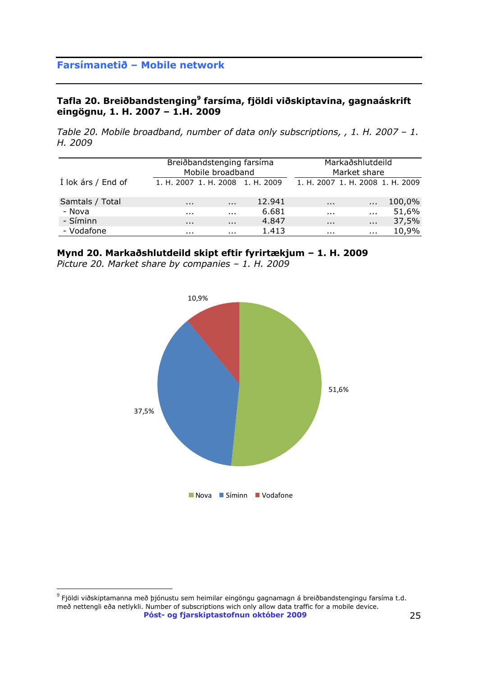### **Tafla 20. Breiðbandstenging<sup>9</sup> farsíma, fjöldi viðskiptavina, gagnaáskrift eingögnu, 1. H. 2007 – 1.H. 2009**

*Table 20. Mobile broadband, number of data only subscriptions, , 1. H. 2007 - 1. H. 2009*

|                    | Breiðbandstenging farsíma<br>Mobile broadband |          |                                  |                                  | Markaðshlutdeild<br>Market share |        |
|--------------------|-----------------------------------------------|----------|----------------------------------|----------------------------------|----------------------------------|--------|
| Í lok árs / End of |                                               |          | 1. H. 2007 1. H. 2008 1. H. 2009 | 1. H. 2007 1. H. 2008 1. H. 2009 |                                  |        |
| Samtals / Total    | $\cdots$                                      | $\cdots$ | 12.941                           | $\cdots$                         | $\cdots$                         | 100,0% |
| - Nova             | $\cdots$                                      | $\cdots$ | 6.681                            | $\cdots$                         | $\cdots$                         | 51,6%  |
| - Síminn           | $\cdots$                                      | $\cdots$ | 4.847                            | $\cdots$                         | $\cdots$                         | 37,5%  |
| - Vodafone         | .                                             | $\cdots$ | 1.413                            | .                                | $\cdots$                         | 10,9%  |

### **Mynd 20. Markaðshlutdeild skipt eftir fyrirtækjum – 1. H. 2009**

*Picture 20. Market share by companies – 1. H. 2009*



**Póst- og fjarskiptastofnun október 2009** 25  $^9$  Fjöldi viðskiptamanna með þjónustu sem heimilar eingöngu gagnamagn á breiðbandstengingu farsíma t.d. með nettengli eða netlykli. Number of subscriptions wich only allow data traffic for a mobile device.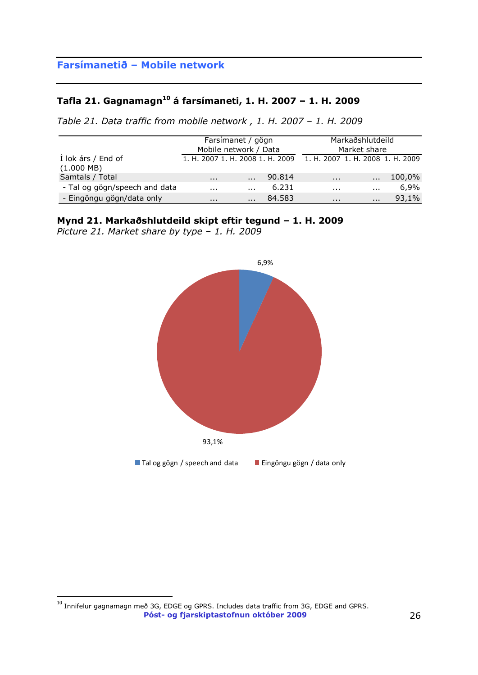# **Tafla 21. Gagnamagn<sup>10</sup> á farsímaneti, 1. H. 2007 – 1. H. 2009**

*Table 21. Data traffic from mobile network , 1. H. 2007 – 1. H. 2009*

|                                            | Farsímanet / gögn<br>Mobile network / Data |          |        |                                  | Markaðshlutdeild<br>Market share |        |
|--------------------------------------------|--------------------------------------------|----------|--------|----------------------------------|----------------------------------|--------|
| Í lok árs / End of<br>$(1.000 \text{ MB})$ | 1. H. 2007 1. H. 2008 1. H. 2009           |          |        | 1. H. 2007 1. H. 2008 1. H. 2009 |                                  |        |
| Samtals / Total                            | $\cdots$                                   | $\cdots$ | 90.814 | $\cdots$                         | $\cdots$                         | 100,0% |
| - Tal og gögn/speech and data              | $\cdots$                                   | $\cdots$ | 6.231  | .                                | $\cdots$                         | 6,9%   |
| - Eingöngu gögn/data only                  | $\cdots$                                   | $\cdots$ | 84.583 | $\cdots$                         | $\cdots$                         | 93,1%  |

## **Mynd 21. Markaðshlutdeild skipt eftir tegund – 1. H. 2009**

*Picture 21. Market share by type – 1. H. 2009*



**Póst- og fjarskiptastofnun október 2009** 26  $\overline{a}$  $^{10}$  Innifelur gagnamagn með 3G, EDGE og GPRS. Includes data traffic from 3G, EDGE and GPRS.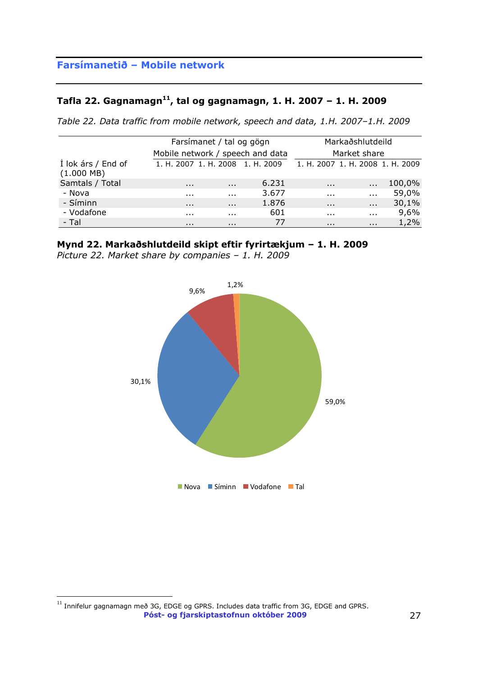### **Tafla 22. Gagnamagn<sup>11</sup> , tal og gagnamagn, 1. H. 2007 – 1. H. 2009**

*Table 22. Data traffic from mobile network, speech and data, 1.H. 2007–1.H. 2009*

|                                            |                                  | Farsímanet / tal og gögn |                                  | Markaðshlutdeild                 |              |        |  |
|--------------------------------------------|----------------------------------|--------------------------|----------------------------------|----------------------------------|--------------|--------|--|
|                                            |                                  |                          | Mobile network / speech and data |                                  | Market share |        |  |
| Í lok árs / End of<br>$(1.000 \text{ MB})$ | 1. H. 2007 1. H. 2008 1. H. 2009 |                          |                                  | 1. H. 2007 1. H. 2008 1. H. 2009 |              |        |  |
| Samtals / Total                            | $\cdots$                         | $\cdots$                 | 6.231                            | $\cdots$                         | $\cdots$     | 100,0% |  |
| - Nova                                     | $\cdots$                         | $\cdots$                 | 3.677                            | $\cdots$                         | $\cdots$     | 59,0%  |  |
| - Síminn                                   | $\cdots$                         | $\cdots$                 | 1.876                            | $\cdots$                         | $\cdots$     | 30,1%  |  |
| - Vodafone                                 | .                                | .                        | 601                              | .                                | $\cdots$     | 9,6%   |  |
| - Tal                                      | $\cdots$                         | $\cdots$                 | 77                               | $\cdots$                         | $\cdots$     | 1,2%   |  |

### **Mynd 22. Markaðshlutdeild skipt eftir fyrirtækjum – 1. H. 2009**

*Picture 22. Market share by companies – 1. H. 2009*



**Póst- og fjarskiptastofnun október 2009** 27  $^{11}$  Innifelur gagnamagn með 3G, EDGE og GPRS. Includes data traffic from 3G, EDGE and GPRS.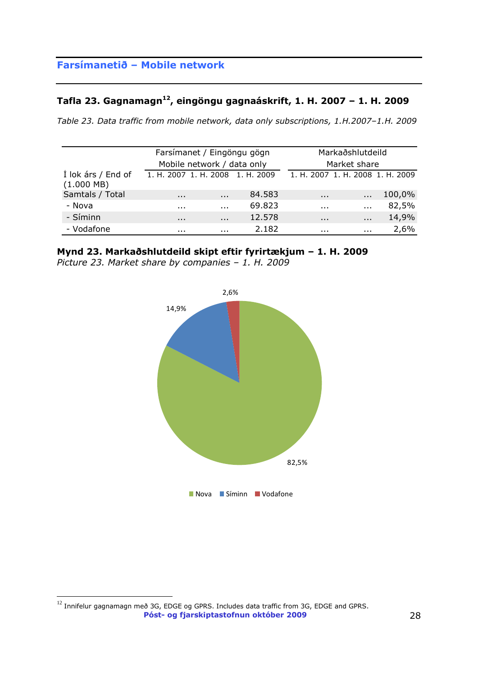### **Tafla 23. Gagnamagn<sup>12</sup> , eingöngu gagnaáskrift, 1. H. 2007 – 1. H. 2009**

*Table 23. Data traffic from mobile network, data only subscriptions, 1.H.2007–1.H. 2009*

|                                            |          | Farsímanet / Eingöngu gögn       |        | Markaðshlutdeild |                                  |        |  |
|--------------------------------------------|----------|----------------------------------|--------|------------------|----------------------------------|--------|--|
|                                            |          | Mobile network / data only       |        |                  | Market share                     |        |  |
| Í lok árs / End of<br>$(1.000 \text{ MB})$ |          | 1. H. 2007 1. H. 2008 1. H. 2009 |        |                  | 1. H. 2007 1. H. 2008 1. H. 2009 |        |  |
| Samtals / Total                            | $\cdots$ | $\cdots$                         | 84.583 | $\sim$ $\sim$    | $\cdots$                         | 100,0% |  |
| - Nova                                     | .        | $\cdots$                         | 69.823 | .                | $\ddot{\phantom{a}}$             | 82,5%  |  |
| - Síminn                                   | $\cdots$ | $\cdots$                         | 12.578 | $\cdots$         | $\cdots$                         | 14,9%  |  |
| - Vodafone                                 | .        | .                                | 2.182  | $\cdots$         | $\cdots$                         | 2,6%   |  |

### **Mynd 23. Markaðshlutdeild skipt eftir fyrirtækjum – 1. H. 2009**

*Picture 23. Market share by companies – 1. H. 2009*



**Póst- og fjarskiptastofnun október 2009** 28  $\overline{a}$  $^{12}$  Innifelur gagnamagn með 3G, EDGE og GPRS. Includes data traffic from 3G, EDGE and GPRS.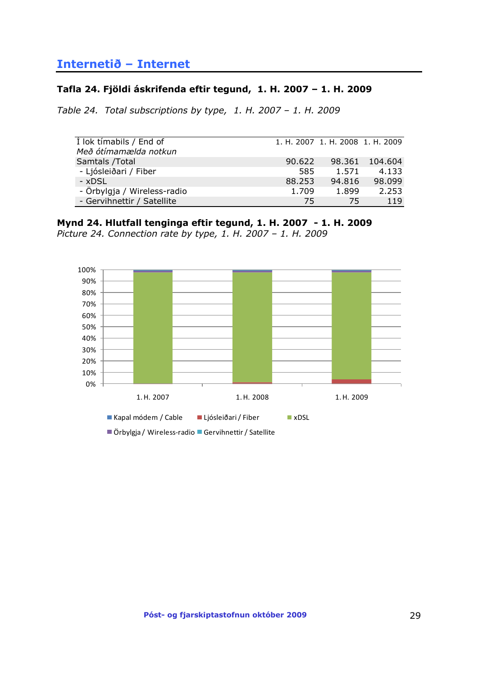## <span id="page-28-0"></span>**Internetið – Internet**

#### **Tafla 24. Fjöldi áskrifenda eftir tegund, 1. H. 2007 – 1. H. 2009**

*Table 24. Total subscriptions by type, 1. H. 2007 – 1. H. 2009*

| I lok timabils / End of     |        | 1. H. 2007 1. H. 2008 1. H. 2009 |         |
|-----------------------------|--------|----------------------------------|---------|
| Með ótímamælda notkun       |        |                                  |         |
| Samtals / Total             | 90.622 | 98.361                           | 104.604 |
| - Ljósleiðari / Fiber       | 585    | 1.571                            | 4.133   |
| - xDSL                      | 88.253 | 94.816                           | 98,099  |
| - Örbylgja / Wireless-radio | 1.709  | 1.899                            | 2.253   |
| - Gervihnettir / Satellite  | 75     | 75                               | 119     |

#### **Mynd 24. Hlutfall tenginga eftir tegund, 1. H. 2007 - 1. H. 2009**

*Picture 24. Connection rate by type, 1. H. 2007 – 1. H. 2009*



<sup>■</sup>Örbylgja / Wireless-radio ■ Gervihnettir / Satellite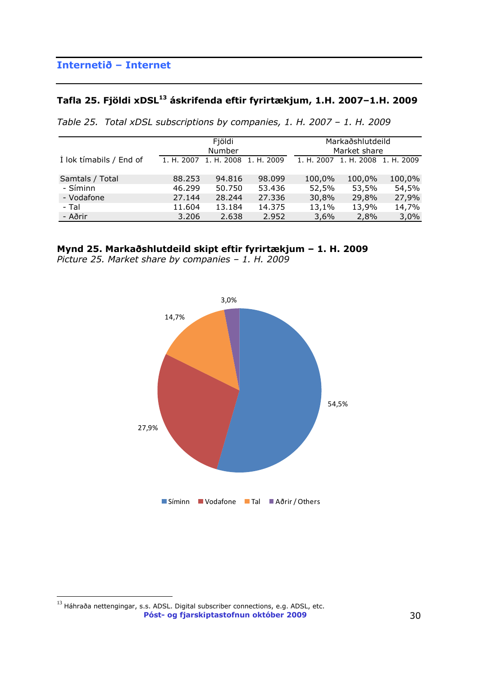# **Tafla 25. Fjöldi xDSL<sup>13</sup> áskrifenda eftir fyrirtækjum, 1.H. 2007–1.H. 2009**

|  |  | Table 25. Total xDSL subscriptions by companies, 1. H. 2007 - 1. H. 2009 |  |  |  |  |  |  |
|--|--|--------------------------------------------------------------------------|--|--|--|--|--|--|
|--|--|--------------------------------------------------------------------------|--|--|--|--|--|--|

|                         | Fjöldi<br>Number |            |            |            | Markaðshlutdeild<br>Market share |        |
|-------------------------|------------------|------------|------------|------------|----------------------------------|--------|
| I lok tímabils / End of | 1. H. 2007       | 1. H. 2008 | 1. H. 2009 | 1. H. 2007 | 1. H. 2008 1. H. 2009            |        |
| Samtals / Total         | 88.253           | 94.816     | 98.099     | 100,0%     | 100,0%                           | 100,0% |
| - Síminn                | 46.299           | 50.750     | 53.436     | 52,5%      | 53,5%                            | 54,5%  |
| - Vodafone              | 27.144           | 28.244     | 27.336     | 30,8%      | 29,8%                            | 27,9%  |
| - Tal                   | 11.604           | 13.184     | 14.375     | 13,1%      | 13,9%                            | 14,7%  |
| - Aðrir                 | 3.206            | 2.638      | 2.952      | 3,6%       | 2,8%                             | 3,0%   |



*Picture 25. Market share by companies – 1. H. 2009*



**Póst- og fjarskiptastofnun október 2009** 30  $^{13}$  Háhraða nettengingar, s.s. ADSL. Digital subscriber connections, e.g. ADSL, etc.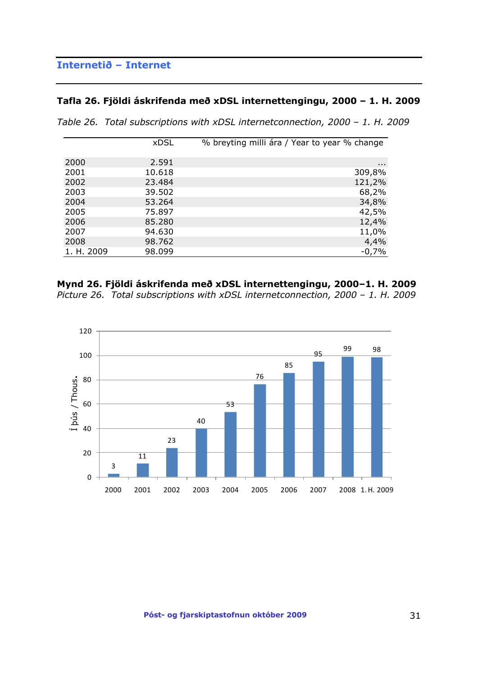## **Internetið – Internet**

### **Tafla 26. Fjöldi áskrifenda með xDSL internettengingu, 2000 – 1. H. 2009**

|  |  | Table 26. Total subscriptions with xDSL internetconnection, 2000 – 1. H. 2009 |  |  |  |  |  |  |
|--|--|-------------------------------------------------------------------------------|--|--|--|--|--|--|
|--|--|-------------------------------------------------------------------------------|--|--|--|--|--|--|

|            | <b>xDSL</b> | % breyting milli ára / Year to year % change |
|------------|-------------|----------------------------------------------|
| 2000       | 2.591       |                                              |
| 2001       | 10.618      | $\cdots$<br>309,8%                           |
| 2002       | 23.484      | 121,2%                                       |
| 2003       | 39.502      | 68,2%                                        |
| 2004       | 53.264      | 34,8%                                        |
| 2005       | 75.897      | 42,5%                                        |
| 2006       | 85.280      | 12,4%                                        |
| 2007       | 94.630      | 11,0%                                        |
| 2008       | 98.762      | 4,4%                                         |
| 1. H. 2009 | 98.099      | $-0,7%$                                      |

#### **Mynd 26. Fjöldi áskrifenda með xDSL internettengingu, 2000–1. H. 2009**

*Picture 26. Total subscriptions with xDSL internetconnection, 2000 – 1. H. 2009*

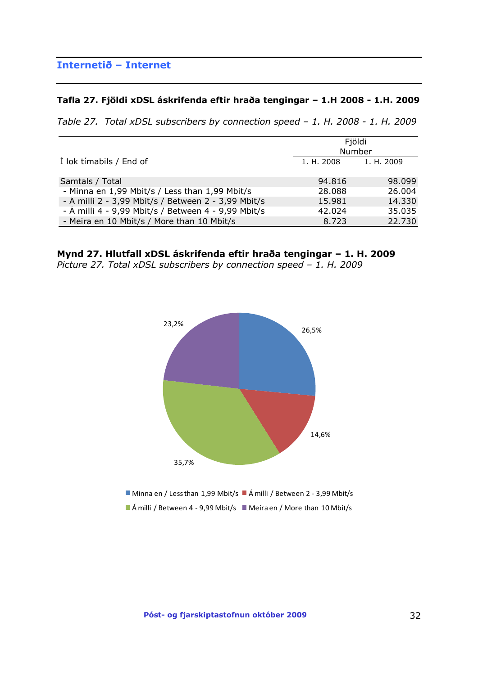## **Internetið – Internet**

#### **Tafla 27. Fjöldi xDSL áskrifenda eftir hraða tengingar – 1.H 2008 - 1.H. 2009**

*Table 27. Total xDSL subscribers by connection speed – 1. H. 2008 - 1. H. 2009*

|                                                     | Fjöldi<br>Number      |        |  |
|-----------------------------------------------------|-----------------------|--------|--|
| I lok tímabils / End of                             | 1. H. 2008 1. H. 2009 |        |  |
| Samtals / Total                                     | 94.816                | 98.099 |  |
| - Minna en 1,99 Mbit/s / Less than 1,99 Mbit/s      | 28,088                | 26,004 |  |
| - Á milli 2 - 3,99 Mbit/s / Between 2 - 3,99 Mbit/s | 15.981                | 14.330 |  |
| - Á milli 4 - 9,99 Mbit/s / Between 4 - 9,99 Mbit/s | 42.024                | 35,035 |  |
| - Meira en 10 Mbit/s / More than 10 Mbit/s          | 8.723                 | 22,730 |  |

#### **Mynd 27. Hlutfall xDSL áskrifenda eftir hraða tengingar – 1. H. 2009**

*Picture 27. Total xDSL subscribers by connection speed – 1. H. 2009*

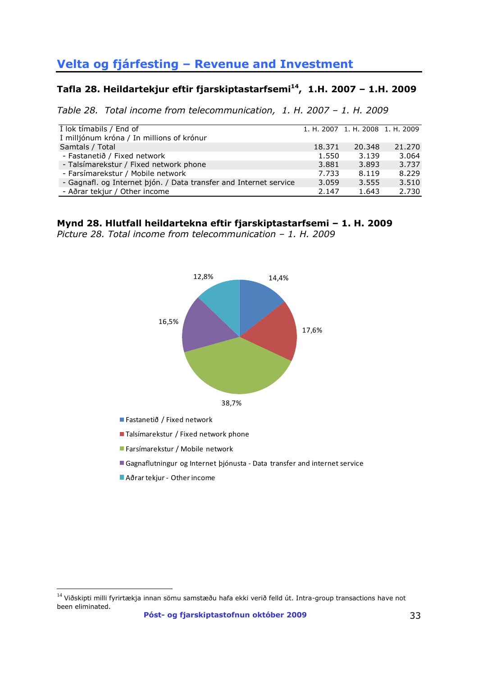# <span id="page-32-0"></span>**Velta og fjárfesting – Revenue and Investment**

### **Tafla 28. Heildartekjur eftir fjarskiptastarfsemi<sup>14</sup> , 1.H. 2007 – 1.H. 2009**

*Table 28. Total income from telecommunication, 1. H. 2007 – 1. H. 2009*

| I lok tímabils / End of                                           |        | 1. H. 2007 1. H. 2008 1. H. 2009 |        |
|-------------------------------------------------------------------|--------|----------------------------------|--------|
| Í milljónum króna / In millions of krónur                         |        |                                  |        |
| Samtals / Total                                                   | 18.371 | 20.348                           | 21.270 |
| - Fastanetið / Fixed network                                      | 1.550  | 3.139                            | 3.064  |
| - Talsímarekstur / Fixed network phone                            | 3.881  | 3.893                            | 3.737  |
| - Farsímarekstur / Mobile network                                 | 7.733  | 8.119                            | 8.229  |
| - Gagnafl. og Internet þjón. / Data transfer and Internet service | 3.059  | 3.555                            | 3.510  |
| - Aðrar tekjur / Other income                                     | 2.147  | 1.643                            | 2.730  |

### **Mynd 28. Hlutfall heildartekna eftir fjarskiptastarfsemi – 1. H. 2009**

*Picture 28. Total income from telecommunication – 1. H. 2009*



- Fastanetið / Fixed network
- Talsímarekstur / Fixed network phone
- Farsímarekstur / Mobile network
- Gagnaflutningur og Internet þjónusta Data transfer and internet service
- Aðrar tekjur Other income

 $14$  Viðskipti milli fyrirtækja innan sömu samstæðu hafa ekki verið felld út. Intra-group transactions have not been eliminated.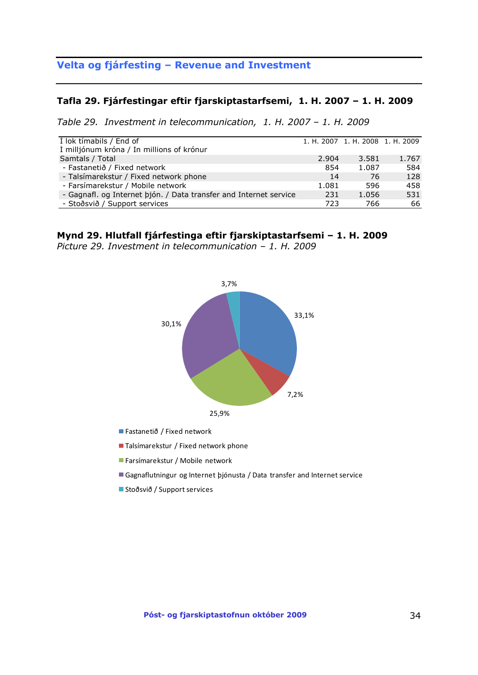## **Velta og fjárfesting – Revenue and Investment**

#### **Tafla 29. Fjárfestingar eftir fjarskiptastarfsemi, 1. H. 2007 – 1. H. 2009**

*Table 29. Investment in telecommunication, 1. H. 2007 – 1. H. 2009*

| I lok tímabils / End of                                           |       | 1. H. 2007 1. H. 2008 1. H. 2009 |       |
|-------------------------------------------------------------------|-------|----------------------------------|-------|
| Í milljónum króna / In millions of krónur                         |       |                                  |       |
| Samtals / Total                                                   | 2.904 | 3.581                            | 1.767 |
| - Fastanetið / Fixed network                                      | 854   | 1.087                            | 584   |
| - Talsímarekstur / Fixed network phone                            | 14    | 76                               | 128   |
| - Farsímarekstur / Mobile network                                 | 1.081 | 596                              | 458   |
| - Gagnafl. og Internet þjón. / Data transfer and Internet service | 231   | 1.056                            | 531   |
| - Stoðsvið / Support services                                     | 723   | 766                              | 66    |

#### **Mynd 29. Hlutfall fjárfestinga eftir fjarskiptastarfsemi – 1. H. 2009**

*Picture 29. Investment in telecommunication – 1. H. 2009*



- Fastanetið / Fixed network
- Talsímarekstur / Fixed network phone
- Farsímarekstur / Mobile network
- Gagnaflutningur og Internet þjónusta / Data transfer and Internet service
- Stoðsvið / Support services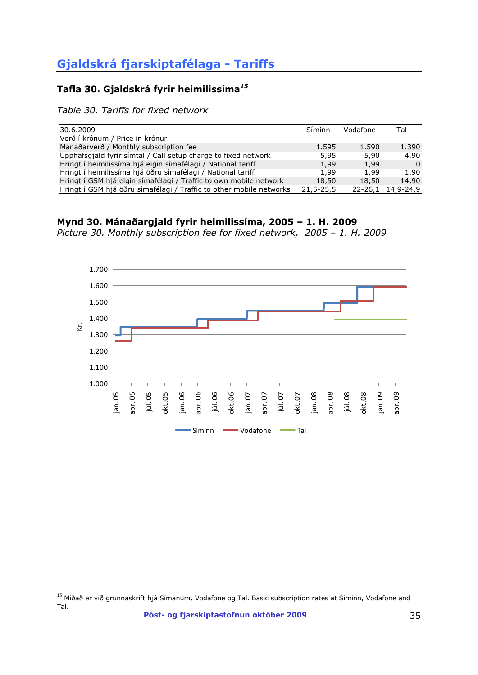## <span id="page-34-0"></span>**Tafla 30. Gjaldskrá fyrir heimilissíma***<sup>15</sup>*

*Table 30. Tariffs for fixed network*

 $\overline{a}$ 

| 30.6.2009                                                           | Síminn          | Vodafone | Tal               |
|---------------------------------------------------------------------|-----------------|----------|-------------------|
| Verð í krónum / Price in krónur                                     |                 |          |                   |
| Mánaðarverð / Monthly subscription fee                              | 1.595           | 1.590    | 1.390             |
| Upphafsgjald fyrir símtal / Call setup charge to fixed network      | 5,95            | 5,90     | 4,90              |
| Hringt í heimilissíma hjá eigin símafélagi / National tariff        | 1,99            | 1,99     | $\Omega$          |
| Hringt í heimilissíma hjá öðru símafélagi / National tariff         | 1,99            | 1,99     | 1,90              |
| Hringt í GSM hjá eigin símafélagi / Traffic to own mobile network   | 18,50           | 18,50    | 14,90             |
| Hringt í GSM hjá öðru símafélagi / Traffic to other mobile networks | $21, 5 - 25, 5$ |          | 22-26,1 14,9-24,9 |



*Picture 30. Monthly subscription fee for fixed network, 2005 – 1. H. 2009*



<sup>&</sup>lt;sup>15</sup> Miðað er við grunnáskrift hjá Símanum, Vodafone og Tal. Basic subscription rates at Siminn, Vodafone and Tal.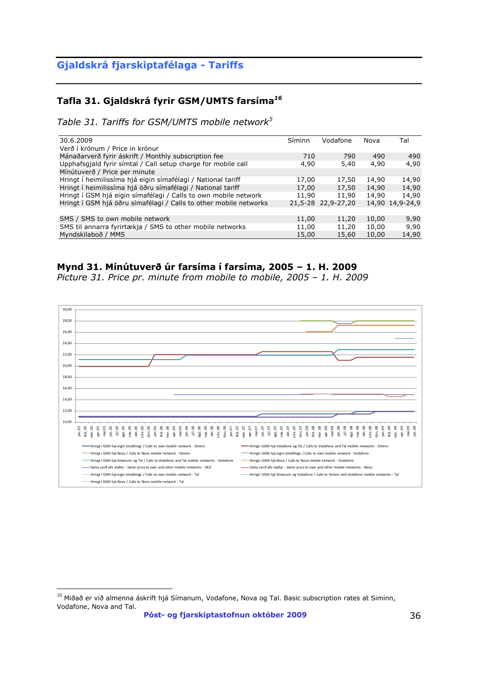## **Tafla 31. Gjaldskrá fyrir GSM/UMTS farsíma***<sup>16</sup>*

*Table 31. Tariffs for GSM/UMTS mobile network<sup>5</sup>*

| 30.6.2009                                                         | Síminn | Vodafone           | Nova  | Tal             |
|-------------------------------------------------------------------|--------|--------------------|-------|-----------------|
| Verð í krónum / Price in krónur                                   |        |                    |       |                 |
| Mánaðarverð fyrir áskrift / Monthly subscription fee              | 710    | 790                | 490   | 490             |
| Upphafsgjald fyrir símtal / Call setup charge for mobile call     | 4,90   | 5,40               | 4,90  | 4,90            |
| Mínútuverð / Price per minute                                     |        |                    |       |                 |
| Hringt í heimilissíma hjá eigin símafélagi / National tariff      | 17,00  | 17,50              | 14,90 | 14,90           |
| Hringt í heimilissíma hjá öðru símafélagi / National tariff       | 17,00  | 17,50              | 14,90 | 14,90           |
| Hringt í GSM hjá eigin símafélagi / Calls to own mobile network   | 11,90  | 11,90              | 14,90 | 14,90           |
| Hringt í GSM hjá öðru símafélagi / Calls to other mobile networks |        | 21.5-28 22.9-27.20 |       | 14,90 14,9-24,9 |
|                                                                   |        |                    |       |                 |
| SMS / SMS to own mobile network                                   | 11,00  | 11,20              | 10,00 | 9,90            |
| SMS til annarra fyrirtækja / SMS to other mobile networks         | 11,00  | 11,20              | 10,00 | 9,90            |
| Myndskilaboð / MMS                                                | 15,00  | 15,60              | 10,00 | 14,90           |

### **Mynd 31. Mínútuverð úr farsíma í farsíma, 2005 – 1. H. 2009**

*Picture 31. Price pr. minute from mobile to mobile, 2005 – 1. H. 2009*



 $\overline{a}$ 

**Póst- og fjarskiptastofnun október 2009** 36

 $^{16}$  Miðað er við almenna áskrift hjá Símanum, Vodafone, Nova og Tal. Basic subscription rates at Siminn, Vodafone, Nova and Tal.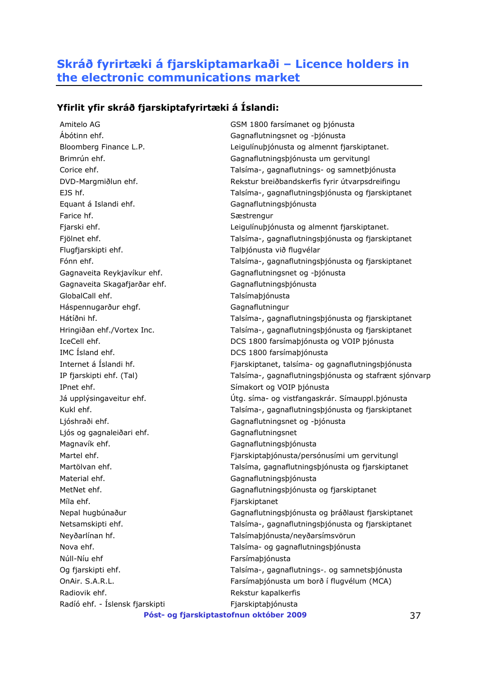## <span id="page-36-0"></span>**Skráð fyrirtæki á fjarskiptamarkaði – Licence holders in the electronic communications market**

### **Yfirlit yfir skráð fjarskiptafyrirtæki á Íslandi:**

Amitelo AG GSM 1800 farsímanet og þjónusta Ábótinn ehf. Gagnaflutningsnet og -þjónusta Equant á Islandi ehf. Gagnaflutningsþjónusta Farice hf. Sastrengur Flugfjarskipti ehf. Talþjónusta við flugvélar Gagnaveita Reykjavíkur ehf. Gagnaflutningsnet og -þjónusta Gagnaveita Skagafjarðar ehf. Gagnaflutningsþjónusta GlobalCall ehf. Talsímaþjónusta Háspennugarður ehgf. Gagnaflutningur IMC Ísland ehf. DCS 1800 farsímaþjónusta IPnet ehf. Símakort og VOIP þjónusta Ljóshraði ehf. Gagnaflutningsnet og -þjónusta Ljós og gagnaleiðari ehf. Gagnaflutningsnet Magnavík ehf. **Gagnaflutnings**þjónusta Material ehf. **Gagnaflutnings** bildar af Gagnaflutningspjónusta Míla ehf. **Fjarskiptanet** Neyðarlínan hf. Talsímaþjónusta/neyðarsímsvörun Nova ehf. Talsíma- og gagnaflutningsþjónusta Núll-Níu ehf Farsímaþjónusta Radiovik ehf. The state of the Rekstur kapalkerfis Radíó ehf. - Íslensk fjarskipti Fjarskiptaþjónusta

Bloomberg Finance L.P. Leigulínuþjónusta og almennt fjarskiptanet. Brimrún ehf. Gagnaflutningsþjónusta um gervitungl Corice ehf. Talsíma-, gagnaflutnings- og samnetþjónusta DVD-Margmiðlun ehf. Rekstur breiðbandskerfis fyrir útvarpsdreifingu EJS hf. Talsíma-, gagnaflutningsþjónusta og fjarskiptanet Fjarski ehf. **Leigulínubjónusta og almennt fjarskiptanet.** Leigulínubjónusta og almennt fjarskiptanet. Fjölnet ehf. Talsíma-, gagnaflutningsþjónusta og fjarskiptanet Fónn ehf. Talsíma-, gagnaflutningsþjónusta og fjarskiptanet Hátíðni hf. Talsíma-, gagnaflutningsþjónusta og fjarskiptanet Hringiðan ehf./Vortex Inc. Talsíma-, gagnaflutningsþjónusta og fjarskiptanet IceCell ehf. DCS 1800 farsímaþjónusta og VOIP þjónusta Internet á Íslandi hf. Fjarskiptanet, talsíma- og gagnaflutningsþjónusta IP fjarskipti ehf. (Tal) Talsíma-, gagnaflutningsþjónusta og stafrænt sjónvarp Já upplýsingaveitur ehf. Útg. síma- og vistfangaskrár. Símauppl.þjónusta Kukl ehf. Talsíma-, gagnaflutningsþjónusta og fjarskiptanet Martel ehf. Fjarskiptaþjónusta/persónusími um gervitungl Martölvan ehf. Talsíma, gagnaflutningsþjónusta og fjarskiptanet MetNet ehf. Gagnaflutningsþjónusta og fjarskiptanet Nepal hugbúnaður Gagnaflutningsþjónusta og þráðlaust fjarskiptanet Netsamskipti ehf. Talsíma-, gagnaflutningsþjónusta og fjarskiptanet Og fjarskipti ehf. Talsíma-, gagnaflutnings-. og samnetsþjónusta OnAir. S.A.R.L. Farsímaþjónusta um borð í flugvélum (MCA)

#### **Póst- og fjarskiptastofnun október 2009** 37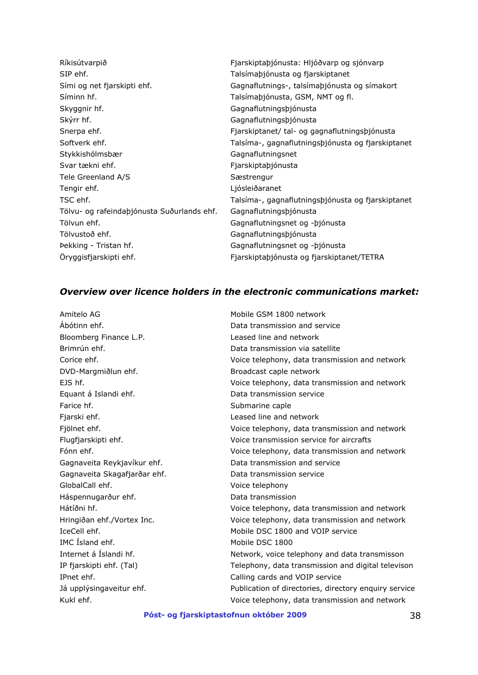| Ríkisútvarpið                              | Fjarskiptaþjónusta: Hljóðvarp og sjónvarp         |
|--------------------------------------------|---------------------------------------------------|
| SIP ehf.                                   | Talsímaþjónusta og fjarskiptanet                  |
| Sími og net fjarskipti ehf.                | Gagnaflutnings-, talsímaþjónusta og símakort      |
| Síminn hf.                                 | Talsímaþjónusta, GSM, NMT og fl.                  |
| Skyggnir hf.                               | Gagnaflutningsþjónusta                            |
| Skýrr hf.                                  | Gagnaflutningsþjónusta                            |
| Snerpa ehf.                                | Fjarskiptanet/ tal- og gagnaflutningsþjónusta     |
| Softverk ehf.                              | Talsíma-, gagnaflutningsþjónusta og fjarskiptanet |
| Stykkishólmsbær                            | Gagnaflutningsnet                                 |
| Svar tækni ehf.                            | Fjarskiptaþjónusta                                |
| Tele Greenland A/S                         | Sæstrengur                                        |
| Tengir ehf.                                | Ljósleiðaranet                                    |
| TSC ehf.                                   | Talsíma-, gagnaflutningsþjónusta og fjarskiptanet |
| Tölvu- og rafeindaþjónusta Suðurlands ehf. | Gagnaflutningsþjónusta                            |
| Tölvun ehf.                                | Gagnaflutningsnet og - bjónusta                   |
| Tölvustoð ehf.                             | Gagnaflutningsþjónusta                            |
| Pekking - Tristan hf.                      | Gagnaflutningsnet og - bjónusta                   |
| Öryggisfjarskipti ehf.                     | Fjarskiptaþjónusta og fjarskiptanet/TETRA         |

## *Overview over licence holders in the electronic communications market:*

| Amitelo AG                   | Mobile GSM 1800 network                               |
|------------------------------|-------------------------------------------------------|
| Abótinn ehf.                 | Data transmission and service                         |
| Bloomberg Finance L.P.       | Leased line and network                               |
| Brimrún ehf.                 | Data transmission via satellite                       |
| Corice ehf.                  | Voice telephony, data transmission and network        |
| DVD-Margmiðlun ehf.          | Broadcast caple network                               |
| FIS hf.                      | Voice telephony, data transmission and network        |
| Equant á Islandi ehf.        | Data transmission service                             |
| Farice hf.                   | Submarine caple                                       |
| Fjarski ehf.                 | Leased line and network                               |
| Fjölnet ehf.                 | Voice telephony, data transmission and network        |
| Flugfjarskipti ehf.          | Voice transmission service for aircrafts              |
| Fónn ehf.                    | Voice telephony, data transmission and network        |
| Gagnaveita Reykjavíkur ehf.  | Data transmission and service                         |
| Gagnaveita Skagafjarðar ehf. | Data transmission service                             |
| GlobalCall ehf.              | Voice telephony                                       |
| Háspennugarður ehf.          | Data transmission                                     |
| Hátíðni hf.                  | Voice telephony, data transmission and network        |
| Hringiðan ehf./Vortex Inc.   | Voice telephony, data transmission and network        |
| IceCell ehf.                 | Mobile DSC 1800 and VOIP service                      |
| IMC Island ehf.              | Mobile DSC 1800                                       |
| Internet á Íslandi hf.       | Network, voice telephony and data transmisson         |
| IP fjarskipti ehf. (Tal)     | Telephony, data transmission and digital televison    |
| IPnet ehf.                   | Calling cards and VOIP service                        |
| Já upplýsingaveitur ehf.     | Publication of directories, directory enquiry service |
| Kukl ehf.                    | Voice telephony, data transmission and network        |
|                              |                                                       |